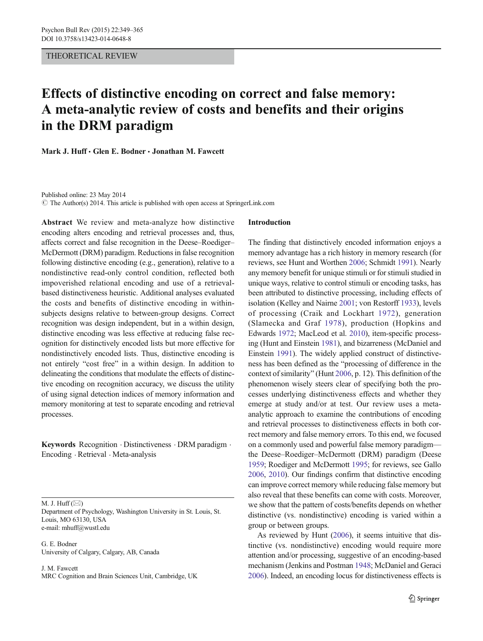# Effects of distinctive encoding on correct and false memory: A meta-analytic review of costs and benefits and their origins in the DRM paradigm

Mark J. Huff · Glen E. Bodner · Jonathan M. Fawcett

Published online: 23 May 2014  $\odot$  The Author(s) 2014. This article is published with open access at SpringerLink.com

Abstract We review and meta-analyze how distinctive encoding alters encoding and retrieval processes and, thus, affects correct and false recognition in the Deese–Roediger– McDermott (DRM) paradigm. Reductions in false recognition following distinctive encoding (e.g., generation), relative to a nondistinctive read-only control condition, reflected both impoverished relational encoding and use of a retrievalbased distinctiveness heuristic. Additional analyses evaluated the costs and benefits of distinctive encoding in withinsubjects designs relative to between-group designs. Correct recognition was design independent, but in a within design, distinctive encoding was less effective at reducing false recognition for distinctively encoded lists but more effective for nondistinctively encoded lists. Thus, distinctive encoding is not entirely "cost free" in a within design. In addition to delineating the conditions that modulate the effects of distinctive encoding on recognition accuracy, we discuss the utility of using signal detection indices of memory information and memory monitoring at test to separate encoding and retrieval processes.

Keywords Recognition . Distinctiveness . DRM paradigm . Encoding . Retrieval . Meta-analysis

M. J. Huff  $(\boxtimes)$ 

Department of Psychology, Washington University in St. Louis, St. Louis, MO 63130, USA e-mail: mhuff@wustl.edu

G. E. Bodner University of Calgary, Calgary, AB, Canada

J. M. Fawcett MRC Cognition and Brain Sciences Unit, Cambridge, UK

## Introduction

The finding that distinctively encoded information enjoys a memory advantage has a rich history in memory research (for reviews, see Hunt and Worthen [2006](#page-15-0); Schmidt [1991\)](#page-16-0). Nearly any memory benefit for unique stimuli or for stimuli studied in unique ways, relative to control stimuli or encoding tasks, has been attributed to distinctive processing, including effects of isolation (Kelley and Nairne [2001](#page-15-0); von Restorff [1933\)](#page-16-0), levels of processing (Craik and Lockhart [1972\)](#page-14-0), generation (Slamecka and Graf [1978\)](#page-16-0), production (Hopkins and Edwards [1972;](#page-15-0) MacLeod et al. [2010](#page-15-0)), item-specific processing (Hunt and Einstein [1981\)](#page-15-0), and bizarreness (McDaniel and Einstein [1991\)](#page-15-0). The widely applied construct of distinctiveness has been defined as the "processing of difference in the context of similarity" (Hunt [2006](#page-15-0), p. 12). This definition of the phenomenon wisely steers clear of specifying both the processes underlying distinctiveness effects and whether they emerge at study and/or at test. Our review uses a metaanalytic approach to examine the contributions of encoding and retrieval processes to distinctiveness effects in both correct memory and false memory errors. To this end, we focused on a commonly used and powerful false memory paradigm the Deese–Roediger–McDermott (DRM) paradigm (Deese [1959;](#page-14-0) Roediger and McDermott [1995](#page-16-0); for reviews, see Gallo [2006,](#page-15-0) [2010](#page-15-0)). Our findings confirm that distinctive encoding can improve correct memory while reducing false memory but also reveal that these benefits can come with costs. Moreover, we show that the pattern of costs/benefits depends on whether distinctive (vs. nondistinctive) encoding is varied within a group or between groups.

As reviewed by Hunt [\(2006\)](#page-15-0), it seems intuitive that distinctive (vs. nondistinctive) encoding would require more attention and/or processing, suggestive of an encoding-based mechanism (Jenkins and Postman [1948](#page-15-0); McDaniel and Geraci [2006\)](#page-15-0). Indeed, an encoding locus for distinctiveness effects is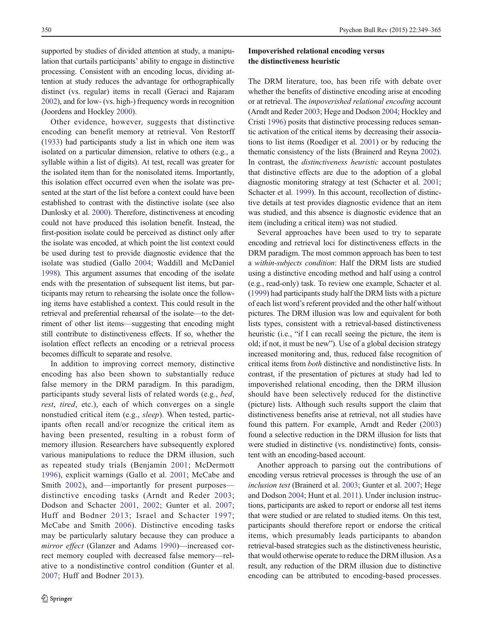supported by studies of divided attention at study, a manipulation that curtails participants' ability to engage in distinctive processing. Consistent with an encoding locus, dividing attention at study reduces the advantage for orthographically distinct (vs. regular) items in recall (Geraci and Rajaram [2002\)](#page-15-0), and for low- (vs. high-) frequency words in recognition (Joordens and Hockley [2000](#page-15-0)).

Other evidence, however, suggests that distinctive encoding can benefit memory at retrieval. Von Restorff [\(1933\)](#page-16-0) had participants study a list in which one item was isolated on a particular dimension, relative to others (e.g., a syllable within a list of digits). At test, recall was greater for the isolated item than for the nonisolated items. Importantly, this isolation effect occurred even when the isolate was presented at the start of the list before a context could have been established to contrast with the distinctive isolate (see also Dunlosky et al. [2000](#page-14-0)). Therefore, distinctiveness at encoding could not have produced this isolation benefit. Instead, the first-position isolate could be perceived as distinct only after the isolate was encoded, at which point the list context could be used during test to provide diagnostic evidence that the isolate was studied (Gallo [2004](#page-15-0); Waddill and McDaniel [1998\)](#page-16-0). This argument assumes that encoding of the isolate ends with the presentation of subsequent list items, but participants may return to rehearsing the isolate once the following items have established a context. This could result in the retrieval and preferential rehearsal of the isolate—to the detriment of other list items—suggesting that encoding might still contribute to distinctiveness effects. If so, whether the isolation effect reflects an encoding or a retrieval process becomes difficult to separate and resolve.

In addition to improving correct memory, distinctive encoding has also been shown to substantially reduce false memory in the DRM paradigm. In this paradigm, participants study several lists of related words (e.g., bed, rest, tired, etc.), each of which converges on a single nonstudied critical item (e.g., sleep). When tested, participants often recall and/or recognize the critical item as having been presented, resulting in a robust form of memory illusion. Researchers have subsequently explored various manipulations to reduce the DRM illusion, such as repeated study trials (Benjamin [2001](#page-14-0); McDermott [1996](#page-15-0)), explicit warnings (Gallo et al. [2001](#page-15-0); McCabe and Smith [2002](#page-15-0)), and—importantly for present purposes distinctive encoding tasks (Arndt and Reder [2003](#page-14-0); Dodson and Schacter [2001,](#page-14-0) [2002;](#page-14-0) Gunter et al. [2007](#page-15-0); Huff and Bodner [2013](#page-15-0); Israel and Schacter [1997](#page-15-0); McCabe and Smith [2006](#page-15-0)). Distinctive encoding tasks may be particularly salutary because they can produce a mirror effect (Glanzer and Adams [1990\)](#page-15-0)—increased correct memory coupled with decreased false memory—relative to a nondistinctive control condition (Gunter et al. [2007](#page-15-0); Huff and Bodner [2013\)](#page-15-0).

# Impoverished relational encoding versus the distinctiveness heuristic

The DRM literature, too, has been rife with debate over whether the benefits of distinctive encoding arise at encoding or at retrieval. The impoverished relational encoding account (Arndt and Reder [2003;](#page-14-0) Hege and Dodson [2004](#page-15-0); Hockley and Cristi [1996\)](#page-15-0) posits that distinctive processing reduces semantic activation of the critical items by decreasing their associations to list items (Roediger et al. [2001\)](#page-16-0) or by reducing the thematic consistency of the lists (Brainerd and Reyna [2002\)](#page-14-0). In contrast, the distinctiveness heuristic account postulates that distinctive effects are due to the adoption of a global diagnostic monitoring strategy at test (Schacter et al. [2001;](#page-16-0) Schacter et al. [1999](#page-16-0)). In this account, recollection of distinctive details at test provides diagnostic evidence that an item was studied, and this absence is diagnostic evidence that an item (including a critical item) was not studied.

Several approaches have been used to try to separate encoding and retrieval loci for distinctiveness effects in the DRM paradigm. The most common approach has been to test a within-subjects condition: Half the DRM lists are studied using a distinctive encoding method and half using a control (e.g., read-only) task. To review one example, Schacter et al. [\(1999\)](#page-16-0) had participants study half the DRM lists with a picture of each list word's referent provided and the other half without pictures. The DRM illusion was low and equivalent for both lists types, consistent with a retrieval-based distinctiveness heuristic (i.e., "if I can recall seeing the picture, the item is old; if not, it must be new"). Use of a global decision strategy increased monitoring and, thus, reduced false recognition of critical items from both distinctive and nondistinctive lists. In contrast, if the presentation of pictures at study had led to impoverished relational encoding, then the DRM illusion should have been selectively reduced for the distinctive (picture) lists. Although such results support the claim that distinctiveness benefits arise at retrieval, not all studies have found this pattern. For example, Arndt and Reder [\(2003](#page-14-0)) found a selective reduction in the DRM illusion for lists that were studied in distinctive (vs. nondistinctive) fonts, consistent with an encoding-based account.

Another approach to parsing out the contributions of encoding versus retrieval processes is through the use of an inclusion test (Brainerd et al. [2003;](#page-14-0) Gunter et al. [2007](#page-15-0); Hege and Dodson [2004](#page-15-0); Hunt et al. [2011](#page-15-0)). Under inclusion instructions, participants are asked to report or endorse all test items that were studied or are related to studied items. On this test, participants should therefore report or endorse the critical items, which presumably leads participants to abandon retrieval-based strategies such as the distinctiveness heuristic, that would otherwise operate to reduce the DRM illusion. As a result, any reduction of the DRM illusion due to distinctive encoding can be attributed to encoding-based processes.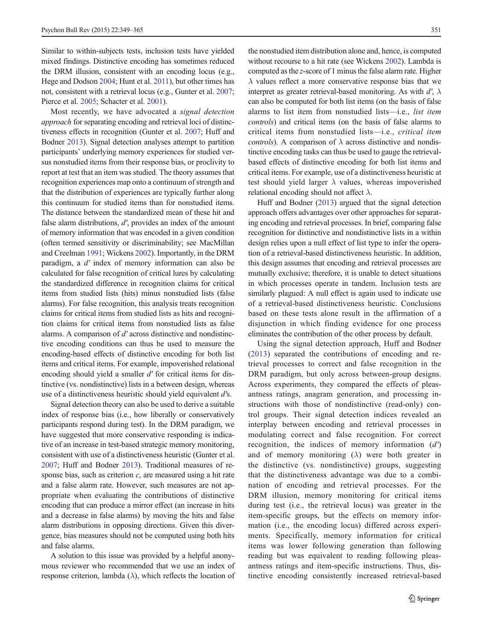Similar to within-subjects tests, inclusion tests have yielded mixed findings. Distinctive encoding has sometimes reduced the DRM illusion, consistent with an encoding locus (e.g., Hege and Dodson [2004](#page-15-0); Hunt et al. [2011\)](#page-15-0), but other times has not, consistent with a retrieval locus (e.g., Gunter et al. [2007](#page-15-0); Pierce et al. [2005;](#page-15-0) Schacter et al. [2001\)](#page-16-0).

Most recently, we have advocated a signal detection approach for separating encoding and retrieval loci of distinctiveness effects in recognition (Gunter et al. [2007;](#page-15-0) Huff and Bodner [2013\)](#page-15-0). Signal detection analyses attempt to partition participants' underlying memory experiences for studied versus nonstudied items from their response bias, or proclivity to report at test that an item was studied. The theory assumes that recognition experiences map onto a continuum of strength and that the distribution of experiences are typically further along this continuum for studied items than for nonstudied items. The distance between the standardized mean of these hit and false alarm distributions, d', provides an index of the amount of memory information that was encoded in a given condition (often termed sensitivity or discriminability; see MacMillan and Creelman [1991](#page-15-0); Wickens [2002](#page-16-0)). Importantly, in the DRM paradigm, a d' index of memory information can also be calculated for false recognition of critical lures by calculating the standardized difference in recognition claims for critical items from studied lists (hits) minus nonstudied lists (false alarms). For false recognition, this analysis treats recognition claims for critical items from studied lists as hits and recognition claims for critical items from nonstudied lists as false alarms. A comparison of d' across distinctive and nondistinctive encoding conditions can thus be used to measure the encoding-based effects of distinctive encoding for both list items and critical items. For example, impoverished relational encoding should yield a smaller d' for critical items for distinctive (vs. nondistinctive) lists in a between design, whereas use of a distinctiveness heuristic should yield equivalent d's.

Signal detection theory can also be used to derive a suitable index of response bias (i.e., how liberally or conservatively participants respond during test). In the DRM paradigm, we have suggested that more conservative responding is indicative of an increase in test-based strategic memory monitoring, consistent with use of a distinctiveness heuristic (Gunter et al. [2007;](#page-15-0) Huff and Bodner [2013](#page-15-0)). Traditional measures of response bias, such as criterion  $c$ , are measured using a hit rate and a false alarm rate. However, such measures are not appropriate when evaluating the contributions of distinctive encoding that can produce a mirror effect (an increase in hits and a decrease in false alarms) by moving the hits and false alarm distributions in opposing directions. Given this divergence, bias measures should not be computed using both hits and false alarms.

A solution to this issue was provided by a helpful anonymous reviewer who recommended that we use an index of response criterion, lambda  $(\lambda)$ , which reflects the location of

the nonstudied item distribution alone and, hence, is computed without recourse to a hit rate (see Wickens [2002\)](#page-16-0). Lambda is computed as the z-score of 1 minus the false alarm rate. Higher  $\lambda$  values reflect a more conservative response bias that we interpret as greater retrieval-based monitoring. As with  $d'$ ,  $\lambda$ can also be computed for both list items (on the basis of false alarms to list item from nonstudied lists—i.e., list item controls) and critical items (on the basis of false alarms to critical items from nonstudied lists—i.e., critical item controls). A comparison of  $\lambda$  across distinctive and nondistinctive encoding tasks can thus be used to gauge the retrievalbased effects of distinctive encoding for both list items and critical items. For example, use of a distinctiveness heuristic at test should yield larger  $\lambda$  values, whereas impoverished relational encoding should not affect  $\lambda$ .

Huff and Bodner [\(2013\)](#page-15-0) argued that the signal detection approach offers advantages over other approaches for separating encoding and retrieval processes. In brief, comparing false recognition for distinctive and nondistinctive lists in a within design relies upon a null effect of list type to infer the operation of a retrieval-based distinctiveness heuristic. In addition, this design assumes that encoding and retrieval processes are mutually exclusive; therefore, it is unable to detect situations in which processes operate in tandem. Inclusion tests are similarly plagued: A null effect is again used to indicate use of a retrieval-based distinctiveness heuristic. Conclusions based on these tests alone result in the affirmation of a disjunction in which finding evidence for one process eliminates the contribution of the other process by default.

Using the signal detection approach, Huff and Bodner [\(2013\)](#page-15-0) separated the contributions of encoding and retrieval processes to correct and false recognition in the DRM paradigm, but only across between-group designs. Across experiments, they compared the effects of pleasantness ratings, anagram generation, and processing instructions with those of nondistinctive (read-only) control groups. Their signal detection indices revealed an interplay between encoding and retrieval processes in modulating correct and false recognition. For correct recognition, the indices of memory information (d') and of memory monitoring  $(\lambda)$  were both greater in the distinctive (vs. nondistinctive) groups, suggesting that the distinctiveness advantage was due to a combination of encoding and retrieval processes. For the DRM illusion, memory monitoring for critical items during test (i.e., the retrieval locus) was greater in the item-specific groups, but the effects on memory information (i.e., the encoding locus) differed across experiments. Specifically, memory information for critical items was lower following generation than following reading but was equivalent to reading following pleasantness ratings and item-specific instructions. Thus, distinctive encoding consistently increased retrieval-based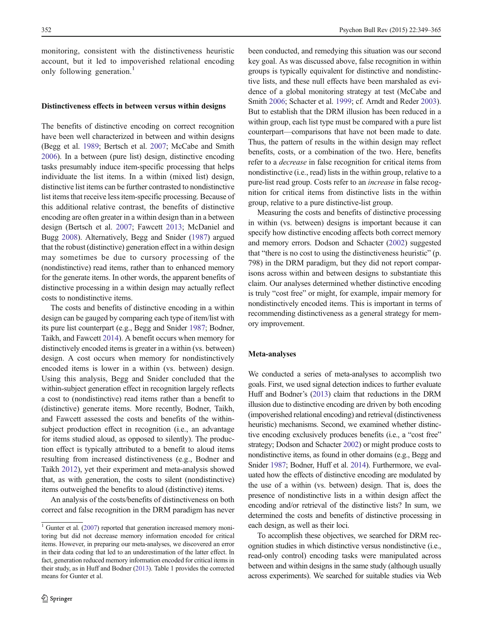monitoring, consistent with the distinctiveness heuristic account, but it led to impoverished relational encoding only following generation.<sup>1</sup>

#### Distinctiveness effects in between versus within designs

The benefits of distinctive encoding on correct recognition have been well characterized in between and within designs (Begg et al. [1989;](#page-14-0) Bertsch et al. [2007;](#page-14-0) McCabe and Smith [2006\)](#page-15-0). In a between (pure list) design, distinctive encoding tasks presumably induce item-specific processing that helps individuate the list items. In a within (mixed list) design, distinctive list items can be further contrasted to nondistinctive list items that receive less item-specific processing. Because of this additional relative contrast, the benefits of distinctive encoding are often greater in a within design than in a between design (Bertsch et al. [2007;](#page-14-0) Fawcett [2013;](#page-15-0) McDaniel and Bugg [2008\)](#page-15-0). Alternatively, Begg and Snider [\(1987\)](#page-14-0) argued that the robust (distinctive) generation effect in a within design may sometimes be due to cursory processing of the (nondistinctive) read items, rather than to enhanced memory for the generate items. In other words, the apparent benefits of distinctive processing in a within design may actually reflect costs to nondistinctive items.

The costs and benefits of distinctive encoding in a within design can be gauged by comparing each type of item/list with its pure list counterpart (e.g., Begg and Snider [1987](#page-14-0); Bodner, Taikh, and Fawcett [2014](#page-14-0)). A benefit occurs when memory for distinctively encoded items is greater in a within (vs. between) design. A cost occurs when memory for nondistinctively encoded items is lower in a within (vs. between) design. Using this analysis, Begg and Snider concluded that the within-subject generation effect in recognition largely reflects a cost to (nondistinctive) read items rather than a benefit to (distinctive) generate items. More recently, Bodner, Taikh, and Fawcett assessed the costs and benefits of the withinsubject production effect in recognition (i.e., an advantage for items studied aloud, as opposed to silently). The production effect is typically attributed to a benefit to aloud items resulting from increased distinctiveness (e.g., Bodner and Taikh [2012\)](#page-14-0), yet their experiment and meta-analysis showed that, as with generation, the costs to silent (nondistinctive) items outweighed the benefits to aloud (distinctive) items.

An analysis of the costs/benefits of distinctiveness on both correct and false recognition in the DRM paradigm has never been conducted, and remedying this situation was our second key goal. As was discussed above, false recognition in within groups is typically equivalent for distinctive and nondistinctive lists, and these null effects have been marshaled as evidence of a global monitoring strategy at test (McCabe and Smith [2006](#page-15-0); Schacter et al. [1999;](#page-16-0) cf. Arndt and Reder [2003\)](#page-14-0). But to establish that the DRM illusion has been reduced in a within group, each list type must be compared with a pure list counterpart—comparisons that have not been made to date. Thus, the pattern of results in the within design may reflect benefits, costs, or a combination of the two. Here, benefits refer to a decrease in false recognition for critical items from nondistinctive (i.e., read) lists in the within group, relative to a pure-list read group. Costs refer to an increase in false recognition for critical items from distinctive lists in the within group, relative to a pure distinctive-list group.

Measuring the costs and benefits of distinctive processing in within (vs. between) designs is important because it can specify how distinctive encoding affects both correct memory and memory errors. Dodson and Schacter ([2002](#page-14-0)) suggested that "there is no cost to using the distinctiveness heuristic" (p. 798) in the DRM paradigm, but they did not report comparisons across within and between designs to substantiate this claim. Our analyses determined whether distinctive encoding is truly "cost free" or might, for example, impair memory for nondistinctively encoded items. This is important in terms of recommending distinctiveness as a general strategy for memory improvement.

## Meta-analyses

We conducted a series of meta-analyses to accomplish two goals. First, we used signal detection indices to further evaluate Huff and Bodner's ([2013\)](#page-15-0) claim that reductions in the DRM illusion due to distinctive encoding are driven by both encoding (impoverished relational encoding) and retrieval (distinctiveness heuristic) mechanisms. Second, we examined whether distinctive encoding exclusively produces benefits (i.e., a "cost free" strategy; Dodson and Schacter [2002](#page-14-0)) or might produce costs to nondistinctive items, as found in other domains (e.g., Begg and Snider [1987;](#page-14-0) Bodner, Huff et al. [2014](#page-14-0)). Furthermore, we evaluated how the effects of distinctive encoding are modulated by the use of a within (vs. between) design. That is, does the presence of nondistinctive lists in a within design affect the encoding and/or retrieval of the distinctive lists? In sum, we determined the costs and benefits of distinctive processing in each design, as well as their loci.

To accomplish these objectives, we searched for DRM recognition studies in which distinctive versus nondistinctive (i.e., read-only control) encoding tasks were manipulated across between and within designs in the same study (although usually across experiments). We searched for suitable studies via Web

 $1$  Gunter et al. [\(2007\)](#page-15-0) reported that generation increased memory monitoring but did not decrease memory information encoded for critical items. However, in preparing our meta-analyses, we discovered an error in their data coding that led to an underestimation of the latter effect. In fact, generation reduced memory information encoded for critical items in their study, as in Huff and Bodner [\(2013](#page-15-0)). Table 1 provides the corrected means for Gunter et al.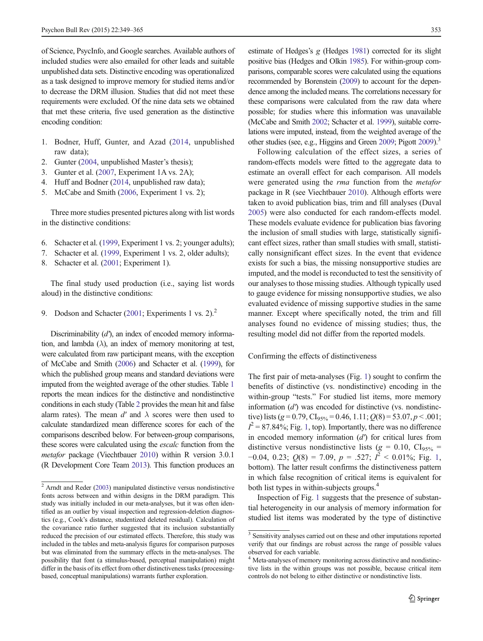of Science, PsycInfo, and Google searches. Available authors of included studies were also emailed for other leads and suitable unpublished data sets. Distinctive encoding was operationalized as a task designed to improve memory for studied items and/or to decrease the DRM illusion. Studies that did not meet these requirements were excluded. Of the nine data sets we obtained that met these criteria, five used generation as the distinctive encoding condition:

- 1. Bodner, Huff, Gunter, and Azad [\(2014,](#page-14-0) unpublished raw data);
- 2. Gunter ([2004](#page-15-0), unpublished Master's thesis);
- 3. Gunter et al. [\(2007,](#page-15-0) Experiment 1A vs. 2A);
- 4. Huff and Bodner [\(2014,](#page-15-0) unpublished raw data);
- 5. McCabe and Smith [\(2006](#page-15-0), Experiment 1 vs. 2);

Three more studies presented pictures along with list words in the distinctive conditions:

- 6. Schacter et al. ([1999](#page-16-0), Experiment 1 vs. 2; younger adults);
- 7. Schacter et al. ([1999](#page-16-0), Experiment 1 vs. 2, older adults);
- 8. Schacter et al. ([2001](#page-16-0); Experiment 1).

The final study used production (i.e., saying list words aloud) in the distinctive conditions:

9. Dodson and Schacter ([2001](#page-14-0); Experiments 1 vs. 2).<sup>2</sup>

Discriminability (d'), an index of encoded memory information, and lambda  $(\lambda)$ , an index of memory monitoring at test, were calculated from raw participant means, with the exception of McCabe and Smith [\(2006](#page-15-0)) and Schacter et al. [\(1999](#page-16-0)), for which the published group means and standard deviations were imputed from the weighted average of the other studies. Table [1](#page-5-0) reports the mean indices for the distinctive and nondistinctive conditions in each study (Table [2](#page-13-0) provides the mean hit and false alarm rates). The mean d' and  $\lambda$  scores were then used to calculate standardized mean difference scores for each of the comparisons described below. For between-group comparisons, these scores were calculated using the escalc function from the metafor package (Viechtbauer [2010\)](#page-16-0) within R version 3.0.1 (R Development Core Team [2013](#page-16-0)). This function produces an

estimate of Hedges's g (Hedges [1981](#page-15-0)) corrected for its slight positive bias (Hedges and Olkin [1985](#page-15-0)). For within-group comparisons, comparable scores were calculated using the equations recommended by Borenstein [\(2009\)](#page-14-0) to account for the dependence among the included means. The correlations necessary for these comparisons were calculated from the raw data where possible; for studies where this information was unavailable (McCabe and Smith [2002;](#page-15-0) Schacter et al. [1999](#page-16-0)), suitable correlations were imputed, instead, from the weighted average of the other studies (see, e.g., Higgins and Green [2009](#page-15-0); Pigott [2009\)](#page-16-0).<sup>3</sup>

Following calculation of the effect sizes, a series of random-effects models were fitted to the aggregate data to estimate an overall effect for each comparison. All models were generated using the rma function from the metafor package in R (see Viechtbauer [2010](#page-16-0)). Although efforts were taken to avoid publication bias, trim and fill analyses (Duval [2005\)](#page-14-0) were also conducted for each random-effects model. These models evaluate evidence for publication bias favoring the inclusion of small studies with large, statistically significant effect sizes, rather than small studies with small, statistically nonsignificant effect sizes. In the event that evidence exists for such a bias, the missing nonsupportive studies are imputed, and the model is reconducted to test the sensitivity of our analyses to those missing studies. Although typically used to gauge evidence for missing nonsupportive studies, we also evaluated evidence of missing supportive studies in the same manner. Except where specifically noted, the trim and fill analyses found no evidence of missing studies; thus, the resulting model did not differ from the reported models.

## Confirming the effects of distinctiveness

The first pair of meta-analyses (Fig. [1](#page-7-0)) sought to confirm the benefits of distinctive (vs. nondistinctive) encoding in the within-group "tests." For studied list items, more memory information  $(d')$  was encoded for distinctive (vs. nondistinctive) lists (g = 0.79, CI<sub>95%</sub> = 0.46, 1.11;  $Q(8)$  = 53.07, p < .001;  $I^2 = 87.84\%$ ; Fig. [1](#page-7-0), top). Importantly, there was no difference in encoded memory information  $(d')$  for critical lures from distinctive versus nondistinctive lists ( $g = 0.10$ , CI<sub>95%</sub> =  $-0.04$ , 0.23;  $Q(8) = 7.09$ ,  $p = .527$ ;  $I^2 < 0.01\%$ ; Fig. [1,](#page-7-0) bottom). The latter result confirms the distinctiveness pattern in which false recognition of critical items is equivalent for both list types in within-subjects groups.<sup>4</sup>

Inspection of Fig. [1](#page-7-0) suggests that the presence of substantial heterogeneity in our analysis of memory information for studied list items was moderated by the type of distinctive

 $\sqrt{2}$  Arndt and Reder ([2003](#page-14-0)) manipulated distinctive versus nondistinctive fonts across between and within designs in the DRM paradigm. This study was initially included in our meta-analyses, but it was often identified as an outlier by visual inspection and regression-deletion diagnostics (e.g., Cook's distance, studentized deleted residual). Calculation of the covariance ratio further suggested that its inclusion substantially reduced the precision of our estimated effects. Therefore, this study was included in the tables and meta-analysis figures for comparison purposes but was eliminated from the summary effects in the meta-analyses. The possibility that font (a stimulus-based, perceptual manipulation) might differ in the basis of its effect from other distinctiveness tasks (processingbased, conceptual manipulations) warrants further exploration.

<sup>&</sup>lt;sup>3</sup> Sensitivity analyses carried out on these and other imputations reported verify that our findings are robust across the range of possible values observed for each variable.

<sup>&</sup>lt;sup>4</sup> Meta-analyses of memory monitoring across distinctive and nondistinctive lists in the within groups was not possible, because critical item controls do not belong to either distinctive or nondistinctive lists.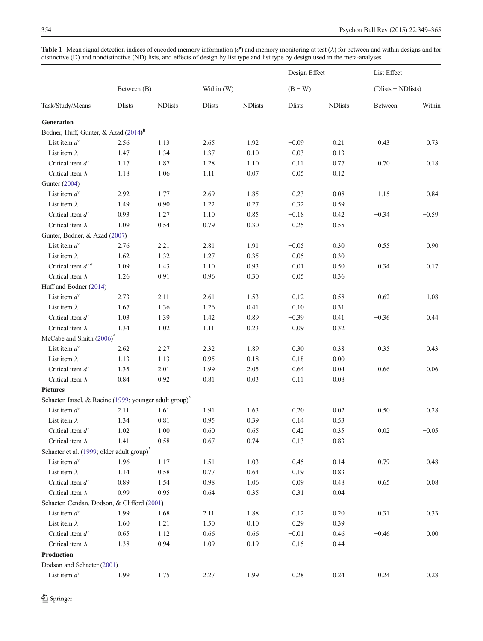|                                                                     |               |                |               |                | Design Effect |                | List Effect        |         |
|---------------------------------------------------------------------|---------------|----------------|---------------|----------------|---------------|----------------|--------------------|---------|
|                                                                     | Between (B)   |                |               | Within $(W)$   |               |                | (Dlists – NDlists) |         |
| Task/Study/Means                                                    | <b>Dlists</b> | <b>NDlists</b> | <b>Dlists</b> | <b>NDlists</b> | <b>Dlists</b> | <b>NDlists</b> | Between            | Within  |
| Generation                                                          |               |                |               |                |               |                |                    |         |
| Bodner, Huff, Gunter, & Azad (2014) <sup>b</sup>                    |               |                |               |                |               |                |                    |         |
| List item $d'$                                                      | 2.56          | 1.13           | 2.65          | 1.92           | $-0.09$       | 0.21           | 0.43               | 0.73    |
| List item $\lambda$                                                 | 1.47          | 1.34           | 1.37          | 0.10           | $-0.03$       | 0.13           |                    |         |
| Critical item d'                                                    | 1.17          | 1.87           | 1.28          | 1.10           | $-0.11$       | 0.77           | $-0.70$            | 0.18    |
| Critical item $\lambda$                                             | 1.18          | 1.06           | 1.11          | 0.07           | $-0.05$       | 0.12           |                    |         |
| <b>Gunter (2004)</b>                                                |               |                |               |                |               |                |                    |         |
| List item $d'$                                                      | 2.92          | 1.77           | 2.69          | 1.85           | 0.23          | $-0.08$        | 1.15               | 0.84    |
| List item $\lambda$                                                 | 1.49          | 0.90           | 1.22          | 0.27           | $-0.32$       | 0.59           |                    |         |
| Critical item d'                                                    | 0.93          | 1.27           | 1.10          | 0.85           | $-0.18$       | 0.42           | $-0.34$            | $-0.59$ |
| Critical item $\lambda$                                             | 1.09          | 0.54           | 0.79          | 0.30           | $-0.25$       | 0.55           |                    |         |
| Gunter, Bodner, & Azad (2007)                                       |               |                |               |                |               |                |                    |         |
| List item $d'$                                                      | 2.76          | 2.21           | 2.81          | 1.91           | $-0.05$       | 0.30           | 0.55               | 0.90    |
| List item $\lambda$                                                 | 1.62          | 1.32           | 1.27          | 0.35           | 0.05          | 0.30           |                    |         |
| Critical item d' <sup>a</sup>                                       | 1.09          | 1.43           | 1.10          | 0.93           | $-0.01$       | 0.50           | $-0.34$            | 0.17    |
| Critical item $\lambda$                                             | 1.26          | 0.91           | 0.96          | 0.30           | $-0.05$       | 0.36           |                    |         |
| Huff and Bodner (2014)                                              |               |                |               |                |               |                |                    |         |
| List item $d'$                                                      | 2.73          | 2.11           | 2.61          | 1.53           | 0.12          | 0.58           | 0.62               | 1.08    |
| List item $\lambda$                                                 | 1.67          | 1.36           | 1.26          | 0.41           | 0.10          | 0.31           |                    |         |
| Critical item d'                                                    | 1.03          | 1.39           | 1.42          | 0.89           | $-0.39$       | 0.41           | $-0.36$            | 0.44    |
| Critical item $\lambda$                                             | 1.34          | 1.02           | 1.11          | 0.23           | $-0.09$       | 0.32           |                    |         |
| McCabe and Smith (2006) <sup>*</sup>                                |               |                |               |                |               |                |                    |         |
| List item $d'$                                                      | 2.62          | 2.27           | 2.32          | 1.89           | 0.30          | 0.38           | 0.35               | 0.43    |
| List item $\lambda$                                                 | 1.13          | 1.13           | 0.95          | 0.18           | $-0.18$       | $0.00\,$       |                    |         |
| Critical item d'                                                    | 1.35          | 2.01           | 1.99          | 2.05           | $-0.64$       | $-0.04$        | $-0.66$            | $-0.06$ |
| Critical item $\lambda$                                             | 0.84          | 0.92           | 0.81          | 0.03           | 0.11          | $-0.08$        |                    |         |
| <b>Pictures</b>                                                     |               |                |               |                |               |                |                    |         |
| Schacter, Israel, & Racine (1999; younger adult group) <sup>*</sup> |               |                |               |                |               |                |                    |         |
| List item $d'$                                                      | 2.11          | 1.61           | 1.91          | 1.63           | 0.20          | $-0.02$        | 0.50               | 0.28    |
| List item $\lambda$                                                 | 1.34          | 0.81           | 0.95          | 0.39           | $-0.14$       | 0.53           |                    |         |
| Critical item $d'$                                                  | $1.02\,$      | $1.00\,$       | $0.60\,$      | 0.65           | 0.42          | 0.35           | $0.02\,$           | $-0.05$ |
| Critical item $\lambda$                                             | 1.41          | 0.58           | 0.67          | 0.74           | $-0.13$       | 0.83           |                    |         |
| Schacter et al. (1999; older adult group) <sup>*</sup>              |               |                |               |                |               |                |                    |         |
| List item $d'$                                                      | 1.96          | 1.17           | 1.51          | 1.03           | 0.45          | 0.14           | 0.79               | 0.48    |
| List item $\lambda$                                                 | 1.14          | 0.58           | 0.77          | 0.64           | $-0.19$       | 0.83           |                    |         |
| Critical item d'                                                    | 0.89          | 1.54           | 0.98          | 1.06           | $-0.09$       | 0.48           | $-0.65$            | $-0.08$ |
| Critical item $\lambda$                                             | 0.99          | 0.95           | 0.64          | 0.35           | 0.31          | 0.04           |                    |         |
| Schacter, Cendan, Dodson, & Clifford (2001)                         |               |                |               |                |               |                |                    |         |
| List item $d'$                                                      | 1.99          | 1.68           | 2.11          | 1.88           | $-0.12$       | $-0.20$        | 0.31               | 0.33    |
| List item $\lambda$                                                 | 1.60          | 1.21           | 1.50          | 0.10           | $-0.29$       | 0.39           |                    |         |
| Critical item d'                                                    | 0.65          | 1.12           | 0.66          | 0.66           | $-0.01$       | 0.46           | $-0.46$            | 0.00    |
| Critical item $\lambda$                                             | 1.38          | 0.94           | 1.09          | 0.19           | $-0.15$       | 0.44           |                    |         |
| Production                                                          |               |                |               |                |               |                |                    |         |
| Dodson and Schacter (2001)                                          |               |                |               |                |               |                |                    |         |
| List item $d'$                                                      | 1.99          | 1.75           | 2.27          | 1.99           | $-0.28$       | $-0.24$        | 0.24               | 0.28    |

<span id="page-5-0"></span>Table 1 Mean signal detection indices of encoded memory information  $(d)$  and memory monitoring at test  $(\lambda)$  for between and within designs and for distinctive (D) and nondistinctive (ND) lists, and effects of design by list type and list type by design used in the meta-analyses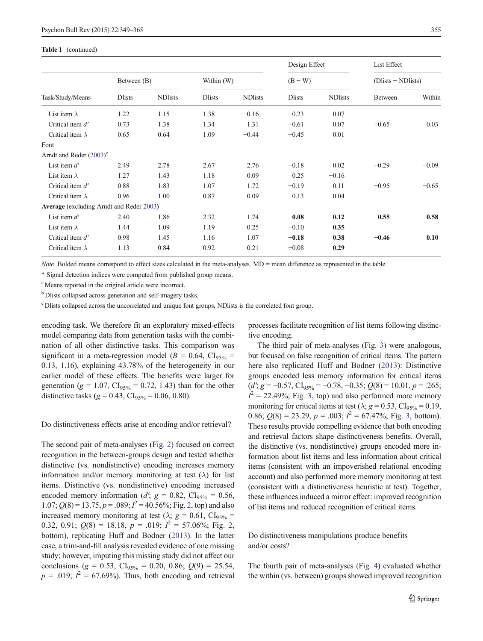#### Table 1 (continued)

|                                          |               |                |               |                | Design Effect |                | List Effect          |         |  |
|------------------------------------------|---------------|----------------|---------------|----------------|---------------|----------------|----------------------|---------|--|
|                                          | Between (B)   |                | Within (W)    |                | $(B - W)$     |                | $(Dlists - NDlists)$ |         |  |
| Task/Study/Means                         | <b>Dlists</b> | <b>NDlists</b> | <b>Dlists</b> | <b>NDlists</b> | <b>Dlists</b> | <b>NDlists</b> | Between              | Within  |  |
| List item $\lambda$                      | 1.22          | 1.15           | 1.38          | $-0.16$        | $-0.23$       | 0.07           |                      |         |  |
| Critical item $d'$                       | 0.73          | 1.38           | 1.34          | 1.31           | $-0.61$       | 0.07           | $-0.65$              | 0.03    |  |
| Critical item $\lambda$                  | 0.65          | 0.64           | 1.09          | $-0.44$        | $-0.45$       | 0.01           |                      |         |  |
| Font                                     |               |                |               |                |               |                |                      |         |  |
| Arndt and Reder $(2003)^c$               |               |                |               |                |               |                |                      |         |  |
| List item $d'$                           | 2.49          | 2.78           | 2.67          | 2.76           | $-0.18$       | 0.02           | $-0.29$              | $-0.09$ |  |
| List item $\lambda$                      | 1.27          | 1.43           | 1.18          | 0.09           | 0.25          | $-0.16$        |                      |         |  |
| Critical item $d'$                       | 0.88          | 1.83           | 1.07          | 1.72           | $-0.19$       | 0.11           | $-0.95$              | $-0.65$ |  |
| Critical item $\lambda$                  | 0.96          | 1.00           | 0.87          | 0.09           | 0.13          | $-0.04$        |                      |         |  |
| Average (excluding Arndt and Reder 2003) |               |                |               |                |               |                |                      |         |  |
| List item $d'$                           | 2.40          | 1.86           | 2.32          | 1.74           | 0.08          | 0.12           | 0.55                 | 0.58    |  |
| List item $\lambda$                      | 1.44          | 1.09           | 1.19          | 0.25           | $-0.10$       | 0.35           |                      |         |  |
| Critical item $d'$                       | 0.98          | 1.45           | 1.16          | 1.07           | $-0.18$       | 0.38           | $-0.46$              | 0.10    |  |
| Critical item $\lambda$                  | 1.13          | 0.84           | 0.92          | 0.21           | $-0.08$       | 0.29           |                      |         |  |

Note. Bolded means correspond to effect sizes calculated in the meta-analyses. MD = mean difference as represented in the table.

\* Signal detection indices were computed from published group means.

<sup>a</sup> Means reported in the original article were incorrect.

<sup>b</sup> Dlists collapsed across generation and self-imagery tasks.

c Dlists collapsed across the uncorrelated and unique font groups, NDlists is the correlated font group.

encoding task. We therefore fit an exploratory mixed-effects model comparing data from generation tasks with the combination of all other distinctive tasks. This comparison was significant in a meta-regression model ( $B = 0.64$ ,  $CI<sub>95%</sub> =$ 0.13, 1.16), explaining 43.78% of the heterogeneity in our earlier model of these effects. The benefits were larger for generation ( $g = 1.07$ ,  $CI_{95\%} = 0.72$ , 1.43) than for the other distinctive tasks ( $g = 0.43$ , CI<sub>95%</sub> = 0.06, 0.80).

Do distinctiveness effects arise at encoding and/or retrieval?

The second pair of meta-analyses (Fig. [2\)](#page-8-0) focused on correct recognition in the between-groups design and tested whether distinctive (vs. nondistinctive) encoding increases memory information and/or memory monitoring at test  $(\lambda)$  for list items. Distinctive (vs. nondistinctive) encoding increased encoded memory information (d';  $g = 0.82$ , CI<sub>95%</sub> = 0.56, 1.07;  $Q(8) = 13.75$ ,  $p = .089$ ;  $I^2 = 40.56\%$ ; Fig. [2,](#page-8-0) top) and also increased memory monitoring at test ( $\lambda$ ;  $g = 0.61$ , CI<sub>95%</sub> = 0.3[2,](#page-8-0) 0.91;  $Q(8) = 18.18$ ,  $p = .019$ ;  $I^2 = 57.06\%$ ; Fig. 2, bottom), replicating Huff and Bodner [\(2013](#page-15-0)). In the latter case, a trim-and-fill analysis revealed evidence of one missing study; however, imputing this missing study did not affect our conclusions (g = 0.53, CI<sub>95%</sub> = 0.20, 0.86;  $Q(9) = 25.54$ ,  $p = .019$ ;  $I^2 = 67.69\%$ ). Thus, both encoding and retrieval

processes facilitate recognition of list items following distinctive encoding.

The third pair of meta-analyses (Fig. [3](#page-9-0)) were analogous, but focused on false recognition of critical items. The pattern here also replicated Huff and Bodner [\(2013](#page-15-0)): Distinctive groups encoded less memory information for critical items  $(d'$ ;  $g = -0.57$ ,  $CI<sub>95%</sub> = -0.78$ ,  $-0.35$ ;  $Q(8) = 10.01$ ,  $p = .265$ ;  $I^2 = 22.49\%$ ; Fig. [3](#page-9-0), top) and also performed more memory monitoring for critical items at test ( $\lambda$ ;  $g = 0.53$ , CI<sub>95%</sub> = 0.19, 0.86;  $Q(8) = 23.29$  $Q(8) = 23.29$  $Q(8) = 23.29$ ,  $p = .003$ ;  $I^2 = 67.47\%$ ; Fig. 3, bottom). These results provide compelling evidence that both encoding and retrieval factors shape distinctiveness benefits. Overall, the distinctive (vs. nondistinctive) groups encoded more information about list items and less information about critical items (consistent with an impoverished relational encoding account) and also performed more memory monitoring at test (consistent with a distinctiveness heuristic at test). Together, these influences induced a mirror effect: improved recognition of list items and reduced recognition of critical items.

Do distinctiveness manipulations produce benefits and/or costs?

The fourth pair of meta-analyses (Fig. [4](#page-10-0)) evaluated whether the within (vs. between) groups showed improved recognition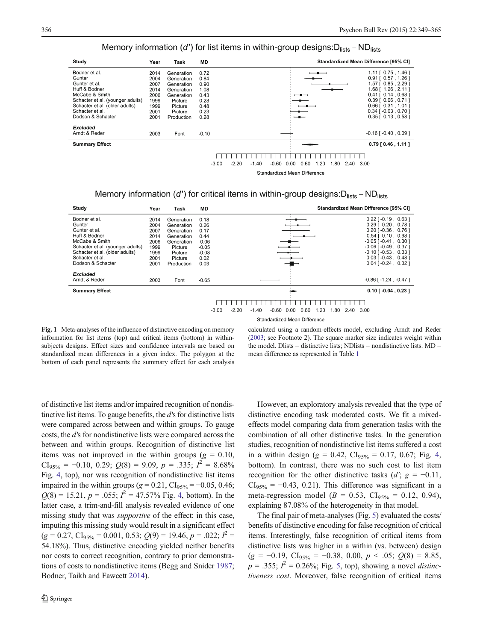<span id="page-7-0"></span>

| Study                            | Year | Task       | MD      | Standardized Mean Difference [95% CI]                                              |
|----------------------------------|------|------------|---------|------------------------------------------------------------------------------------|
| Bodner et al.                    | 2014 | Generation | 0.72    | $1.11$ [ 0.75, 1.46 ]                                                              |
| Gunter                           | 2004 | Generation | 0.84    | $0.91$ [ 0.57, 1.26 ]                                                              |
| Gunter et al.                    | 2007 | Generation | 0.90    | 1.57 [ 0.85 , 2.29 ]                                                               |
| Huff & Bodner                    | 2014 | Generation | 1.08    | 1.68 [ 1.26 . 2.11 ]                                                               |
| McCabe & Smith                   | 2006 | Generation | 0.43    | $0.41$ [ $0.14$ , $0.68$ ]                                                         |
| Schacter et al. (younger adults) | 1999 | Picture    | 0.28    | $0.39$ [ $0.06$ , $0.71$ ]                                                         |
| Schacter et al. (older adults)   | 1999 | Picture    | 0.48    | $0.66$ [ $0.31$ , 1.01]                                                            |
| Schacter et al.                  | 2001 | Picture    | 0.23    | $0.34$ [ $-0.03$ , $0.70$ ]                                                        |
| Dodson & Schacter                | 2001 | Production | 0.28    | $0.35$ [ $0.13$ , $0.58$ ]                                                         |
| <b>Excluded</b>                  |      |            |         |                                                                                    |
| Arndt & Reder                    | 2003 | Font       | $-0.10$ | $-0.16$ [ $-0.40$ , $0.09$ ]                                                       |
|                                  |      |            |         |                                                                                    |
| <b>Summary Effect</b>            |      |            |         | $0.79$ [ $0.46$ , 1.11 ]                                                           |
|                                  |      |            |         |                                                                                    |
|                                  |      |            |         |                                                                                    |
|                                  |      |            |         | $-3.00$<br>$-2.20$<br>$-0.60$ 0.00<br>0.60<br>1.80<br>$-1.40$<br>1.20<br>2.40 3.00 |
|                                  |      |            |         | Standardized Mean Difference                                                       |

Memory information (d') for list items in within-group designs: $D_{\text{lists}} - ND_{\text{lists}}$ 

Memory information (d') for critical items in within-group designs:  $D_{\text{lists}} - ND_{\text{lists}}$ 

| Study                            | Year | Task       | MD      | Standardized Mean Difference [95% CI]                                                    |  |
|----------------------------------|------|------------|---------|------------------------------------------------------------------------------------------|--|
| Bodner et al.                    | 2014 | Generation | 0.18    | $0.22$ [ -0.19, 0.63]                                                                    |  |
| Gunter                           | 2004 | Generation | 0.26    | $0.29$ [ $-0.20$ , $0.78$ ]                                                              |  |
| Gunter et al.                    | 2007 | Generation | 0.17    | $0.20$ [ $-0.36$ , $0.76$ ]                                                              |  |
| Huff & Bodner                    | 2014 | Generation | 0.44    | $0.54$ [ $0.10$ , $0.98$ ]                                                               |  |
| McCabe & Smith                   | 2006 | Generation | $-0.06$ | $-0.05$ [ $-0.41$ , 0.30]                                                                |  |
| Schacter et al. (younger adults) | 1999 | Picture    | $-0.05$ | $-0.06$ [ $-0.49$ , 0.37]                                                                |  |
| Schacter et al. (older adults)   | 1999 | Picture    | $-0.08$ | $-0.10$ [ $-0.53$ , $0.33$ ]                                                             |  |
| Schacter et al.                  | 2001 | Picture    | 0.02    | $0.03$ [ -0.43, 0.48]                                                                    |  |
| Dodson & Schacter                | 2001 | Production | 0.03    | $0.04$ [ $-0.24$ , 0.32]                                                                 |  |
| <b>Excluded</b>                  |      |            |         |                                                                                          |  |
| Arndt & Reder                    | 2003 | Font       | $-0.65$ | $-0.86$ [ $-1.24$ , $-0.47$ ]                                                            |  |
| <b>Summary Effect</b>            |      |            |         | $0.10$ [ $-0.04$ , 0.23 ]                                                                |  |
|                                  |      |            |         |                                                                                          |  |
|                                  |      |            |         | $-2.20$<br>$-3.00$<br>$-1.40$<br>$-0.60$<br>0.00<br>0.60<br>1.20<br>1.80<br>3.00<br>2.40 |  |

Fig. 1 Meta-analyses of the influence of distinctive encoding on memory information for list items (top) and critical items (bottom) in withinsubjects designs. Effect sizes and confidence intervals are based on standardized mean differences in a given index. The polygon at the bottom of each panel represents the summary effect for each analysis

calculated using a random-effects model, excluding Arndt and Reder ([2003](#page-14-0); see Footnote 2). The square marker size indicates weight within the model. Dlists = distinctive lists; ND lists = nondistinctive lists.  $MD =$ mean difference as represented in Table [1](#page-5-0)

of distinctive list items and/or impaired recognition of nondistinctive list items. To gauge benefits, the d's for distinctive lists were compared across between and within groups. To gauge costs, the d's for nondistinctive lists were compared across the between and within groups. Recognition of distinctive list items was not improved in the within groups ( $g = 0.10$ ,  $CI<sub>95%</sub> = -0.10, 0.29; Q(8) = 9.09, p = .335; I<sup>2</sup> = 8.68%$ Fig. [4,](#page-10-0) top), nor was recognition of nondistinctive list items impaired in the within groups ( $g = 0.21$ , CI<sub>95%</sub> = -0.05, 0.46;  $Q(8) = 15.21, p = .055;$   $I^2 = 47.57\%$  $I^2 = 47.57\%$  $I^2 = 47.57\%$  Fig. 4, bottom). In the latter case, a trim-and-fill analysis revealed evidence of one missing study that was supportive of the effect; in this case, imputing this missing study would result in a significant effect  $(g = 0.27, \text{Cl}_{95\%} = 0.001, 0.53; Q(9) = 19.46, p = .022; I^2 =$ 54.18%). Thus, distinctive encoding yielded neither benefits nor costs to correct recognition, contrary to prior demonstrations of costs to nondistinctive items (Begg and Snider [1987](#page-14-0); Bodner, Taikh and Fawcett [2014\)](#page-14-0).

However, an exploratory analysis revealed that the type of distinctive encoding task moderated costs. We fit a mixedeffects model comparing data from generation tasks with the combination of all other distinctive tasks. In the generation studies, recognition of nondistinctive list items suffered a cost in a within design ( $g = 0.42$ ,  $CI_{95\%} = 0.17$ , 0.67; Fig. [4,](#page-10-0) bottom). In contrast, there was no such cost to list item recognition for the other distinctive tasks (d';  $g = -0.11$ ,  $CI<sub>95%</sub> = -0.43, 0.21$ . This difference was significant in a meta-regression model ( $B = 0.53$ , CI<sub>95%</sub> = 0.12, 0.94), explaining 87.08% of the heterogeneity in that model.

The final pair of meta-analyses (Fig. [5\)](#page-11-0) evaluated the costs/ benefits of distinctive encoding for false recognition of critical items. Interestingly, false recognition of critical items from distinctive lists was higher in a within (vs. between) design  $(g = -0.19, \text{Cl}_{95\%} = -0.38, 0.00, p < .05; Q(8) = 8.85,$  $p = .355$ ;  $I^2 = 0.26\%$ ; Fig. [5,](#page-11-0) top), showing a novel *distinc*tiveness cost. Moreover, false recognition of critical items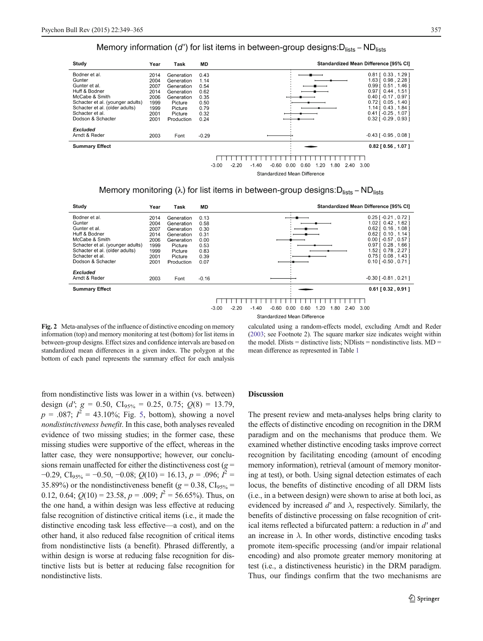| Memory information (d') for list items in between-group designs: $D_{\text{lists}} - ND_{\text{lists}}$ |  |
|---------------------------------------------------------------------------------------------------------|--|
|---------------------------------------------------------------------------------------------------------|--|

<span id="page-8-0"></span>

| Study                            | Year | Task       | MD      | Standardized Mean Difference [95% CI]                                                |
|----------------------------------|------|------------|---------|--------------------------------------------------------------------------------------|
| Bodner et al.                    | 2014 | Generation | 0.43    | $0.81$ [ $0.33$ , 1.29 ]                                                             |
| Gunter                           | 2004 | Generation | 1.14    | 1.63 [ 0.98 . 2.28 ]                                                                 |
| Gunter et al.                    | 2007 | Generation | 0.54    | $0.99$ [ $0.51$ , 1.46 ]                                                             |
| Huff & Bodner                    | 2014 | Generation | 0.62    | $0.97$ [ $0.44$ $.1.51$ ]                                                            |
| McCabe & Smith                   | 2006 | Generation | 0.35    | $0.40$ [ -0.17, 0.97 ]                                                               |
| Schacter et al. (younger adults) | 1999 | Picture    | 0.50    | $0.72$ [ $0.05$ , 1.40 ]                                                             |
| Schacter et al. (older adults)   | 1999 | Picture    | 0.79    | $1.14$ [ 0.43, 1.84 ]                                                                |
| Schacter et al.                  | 2001 | Picture    | 0.32    | $0.41$ [ -0.25, 1.07]                                                                |
| Dodson & Schacter                | 2001 | Production | 0.24    | $0.32$ [ -0.29, 0.93]                                                                |
| Excluded                         |      |            |         |                                                                                      |
| Arndt & Reder                    | 2003 | Font       | $-0.29$ | $-0.43$ [ $-0.95$ , $0.08$ ]                                                         |
| <b>Summary Effect</b>            |      |            |         | $0.82$ [ 0.56, 1.07 ]                                                                |
|                                  |      |            |         |                                                                                      |
|                                  |      |            |         |                                                                                      |
|                                  |      |            |         | $-2.20$<br>$-3.00$<br>1.80 2.40<br>$-1.40$<br>$-0.60$<br>0.00<br>0.60<br>.20<br>3.00 |

Memory monitoring ( $\lambda$ ) for list items in between-group designs: $D_{\text{lists}} - ND_{\text{lists}}$ 

| Study                                                                                                                                             | Year                                                 | Task                                                                                     | MD                                                   |  | Standardized Mean Difference [95% CI]                                                                                                                                                          |
|---------------------------------------------------------------------------------------------------------------------------------------------------|------------------------------------------------------|------------------------------------------------------------------------------------------|------------------------------------------------------|--|------------------------------------------------------------------------------------------------------------------------------------------------------------------------------------------------|
| Bodner et al.<br>Gunter<br>Gunter et al.<br>Huff & Bodner<br>McCabe & Smith<br>Schacter et al. (younger adults)<br>Schacter et al. (older adults) | 2014<br>2004<br>2007<br>2014<br>2006<br>1999<br>1999 | Generation<br>Generation<br>Generation<br>Generation<br>Generation<br>Picture<br>Picture | 0.13<br>0.58<br>0.30<br>0.31<br>0.00<br>0.53<br>0.83 |  | $0.25$ [ -0.21, 0.72]<br>$1.02$ [ $0.42$ , $1.62$ ]<br>$0.62$ [ $0.16$ , 1.08 ]<br>$0.62$ [ $0.10$ , 1.14 ]<br>$0.00$ [ -0.57, 0.57]<br>$0.97$ [ $0.28$ , 1.66 ]<br>$1.52$ [ $0.78$ , $2.27$ ] |
| Schacter et al.<br>Dodson & Schacter                                                                                                              | 2001<br>2001                                         | Picture<br>Production                                                                    | 0.39<br>0.07                                         |  | $0.75$ [ $0.08$ , 1.43 ]<br>$0.10$ [ $-0.50$ , $0.71$ ]                                                                                                                                        |
| <b>Excluded</b><br>Arndt & Reder                                                                                                                  | 2003                                                 | Font                                                                                     | $-0.16$                                              |  | $-0.30$ [ $-0.81$ , $0.21$ ]                                                                                                                                                                   |
| <b>Summary Effect</b>                                                                                                                             |                                                      |                                                                                          |                                                      |  | $0.61$ [ $0.32$ , $0.91$ ]                                                                                                                                                                     |
| $-3.00$<br>$-2.20$<br>$-1.40$<br>-0.60<br>0.00<br>0.60<br>1.20<br>1.80 2.40<br>-3.00                                                              |                                                      |                                                                                          |                                                      |  |                                                                                                                                                                                                |

Standardized Mean Difference

Fig. 2 Meta-analyses of the influence of distinctive encoding on memory information (top) and memory monitoring at test (bottom) for list items in between-group designs. Effect sizes and confidence intervals are based on standardized mean differences in a given index. The polygon at the bottom of each panel represents the summary effect for each analysis

calculated using a random-effects model, excluding Arndt and Reder ([2003](#page-14-0); see Footnote 2). The square marker size indicates weight within the model. Dlists = distinctive lists; ND lists = nondistinctive lists.  $MD =$ mean difference as represented in Table [1](#page-5-0)

from nondistinctive lists was lower in a within (vs. between) design (d';  $g = 0.50$ , CI<sub>95%</sub> = 0.25, 0.75;  $Q(8) = 13.79$ ,  $p = .087; I<sup>2</sup> = 43.10\%;$  Fig. [5,](#page-11-0) bottom), showing a novel nondistinctiveness benefit. In this case, both analyses revealed evidence of two missing studies; in the former case, these missing studies were supportive of the effect, whereas in the latter case, they were nonsupportive; however, our conclusions remain unaffected for either the distinctiveness cost ( $g =$  $-0.29$ , CI<sub>95%</sub> =  $-0.50$ ,  $-0.08$ ;  $Q(10) = 16.13$ ,  $p = .096$ ;  $I^2 =$ 35.89%) or the nondistinctiveness benefit ( $g = 0.38$ , CI<sub>95%</sub> = 0.12, 0.64;  $Q(10) = 23.58$ ,  $p = .009$ ;  $I^2 = 56.65\%$ ). Thus, on the one hand, a within design was less effective at reducing false recognition of distinctive critical items (i.e., it made the distinctive encoding task less effective—a cost), and on the other hand, it also reduced false recognition of critical items from nondistinctive lists (a benefit). Phrased differently, a within design is worse at reducing false recognition for distinctive lists but is better at reducing false recognition for nondistinctive lists.

## Discussion

The present review and meta-analyses helps bring clarity to the effects of distinctive encoding on recognition in the DRM paradigm and on the mechanisms that produce them. We examined whether distinctive encoding tasks improve correct recognition by facilitating encoding (amount of encoding memory information), retrieval (amount of memory monitoring at test), or both. Using signal detection estimates of each locus, the benefits of distinctive encoding of all DRM lists (i.e., in a between design) were shown to arise at both loci, as evidenced by increased  $d'$  and  $\lambda$ , respectively. Similarly, the benefits of distinctive processing on false recognition of critical items reflected a bifurcated pattern: a reduction in d' and an increase in  $\lambda$ . In other words, distinctive encoding tasks promote item-specific processing (and/or impair relational encoding) and also promote greater memory monitoring at test (i.e., a distinctiveness heuristic) in the DRM paradigm. Thus, our findings confirm that the two mechanisms are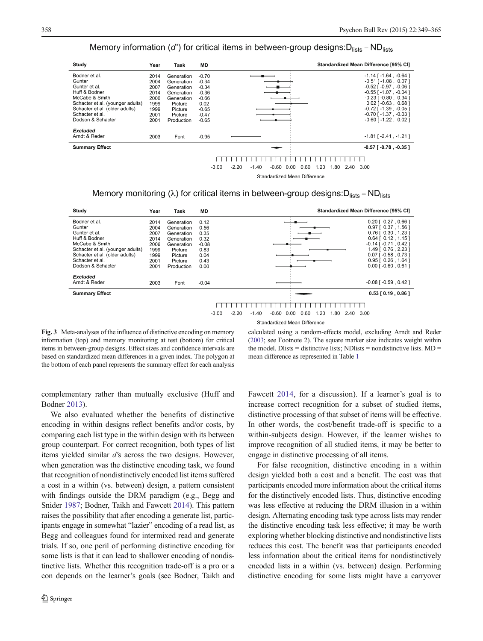<span id="page-9-0"></span>

Memory information (d') for critical items in between-group designs:  $D_{\text{lists}} - ND_{\text{lists}}$ 

Memory monitoring ( $\lambda$ ) for critical items in between-group designs:  $D_{\text{lists}} - ND_{\text{lists}}$ 

| Study                            | Year | Task       | MD      |                                                                  | Standardized Mean Difference [95% CI] |
|----------------------------------|------|------------|---------|------------------------------------------------------------------|---------------------------------------|
| Bodner et al.                    | 2014 | Generation | 0.12    |                                                                  | $0.20$ [ -0.27, 0.66 ]                |
| Gunter                           | 2004 | Generation | 0.56    |                                                                  | $0.97$ [ $0.37$ , 1.56 ]              |
| Gunter et al.                    | 2007 | Generation | 0.35    |                                                                  | $0.76$ [ $0.30$ , 1.23 ]              |
| Huff & Bodner                    | 2014 | Generation | 0.32    |                                                                  | $0.64$ [ $0.12$ , 1.15                |
| McCabe & Smith                   | 2006 | Generation | $-0.08$ |                                                                  | $-0.14$ [ $-0.71$ , $0.42$ ]          |
| Schacter et al. (younger adults) | 1999 | Picture    | 0.83    |                                                                  | 1.49 [ 0.76 . 2.23 ]                  |
| Schacter et al. (older adults)   | 1999 | Picture    | 0.04    |                                                                  | $0.07$ [ $-0.58$ , $0.73$ ]           |
| Schacter et al.                  | 2001 | Picture    | 0.43    |                                                                  | $0.95$ [ $0.26$ , 1.64 ]              |
| Dodson & Schacter                | 2001 | Production | 0.00    |                                                                  | $0.00$ [ $-0.60$ , $0.61$ ]           |
| <b>Excluded</b>                  |      |            |         |                                                                  |                                       |
| Arndt & Reder                    | 2003 | Font       | $-0.04$ |                                                                  | $-0.08$ [ $-0.59$ , $0.42$ ]          |
| <b>Summary Effect</b>            |      |            |         |                                                                  | $0.53$ [ $0.19$ , $0.86$ ]            |
|                                  |      |            |         |                                                                  |                                       |
|                                  |      |            |         | $-2.20$<br>$-3.00$<br>$-1.40$<br>$-0.60$<br>0.00<br>0.60<br>1.20 | 1.80<br>3.00<br>2.40                  |

Fig. 3 Meta-analyses of the influence of distinctive encoding on memory information (top) and memory monitoring at test (bottom) for critical items in between-group designs. Effect sizes and confidence intervals are based on standardized mean differences in a given index. The polygon at the bottom of each panel represents the summary effect for each analysis

calculated using a random-effects model, excluding Arndt and Reder ([2003](#page-14-0); see Footnote 2). The square marker size indicates weight within the model. Dlists = distinctive lists; ND lists = nondistinctive lists.  $MD =$ mean difference as represented in Table [1](#page-5-0)

complementary rather than mutually exclusive (Huff and Bodner [2013\)](#page-15-0).

We also evaluated whether the benefits of distinctive encoding in within designs reflect benefits and/or costs, by comparing each list type in the within design with its between group counterpart. For correct recognition, both types of list items yielded similar d's across the two designs. However, when generation was the distinctive encoding task, we found that recognition of nondistinctively encoded list items suffered a cost in a within (vs. between) design, a pattern consistent with findings outside the DRM paradigm (e.g., Begg and Snider [1987;](#page-14-0) Bodner, Taikh and Fawcett [2014\)](#page-14-0). This pattern raises the possibility that after encoding a generate list, participants engage in somewhat "lazier" encoding of a read list, as Begg and colleagues found for intermixed read and generate trials. If so, one peril of performing distinctive encoding for some lists is that it can lead to shallower encoding of nondistinctive lists. Whether this recognition trade-off is a pro or a con depends on the learner's goals (see Bodner, Taikh and Fawcett [2014](#page-14-0), for a discussion). If a learner's goal is to increase correct recognition for a subset of studied items, distinctive processing of that subset of items will be effective. In other words, the cost/benefit trade-off is specific to a within-subjects design. However, if the learner wishes to improve recognition of all studied items, it may be better to engage in distinctive processing of all items.

For false recognition, distinctive encoding in a within design yielded both a cost and a benefit. The cost was that participants encoded more information about the critical items for the distinctively encoded lists. Thus, distinctive encoding was less effective at reducing the DRM illusion in a within design. Alternating encoding task type across lists may render the distinctive encoding task less effective; it may be worth exploring whether blocking distinctive and nondistinctive lists reduces this cost. The benefit was that participants encoded less information about the critical items for nondistinctively encoded lists in a within (vs. between) design. Performing distinctive encoding for some lists might have a carryover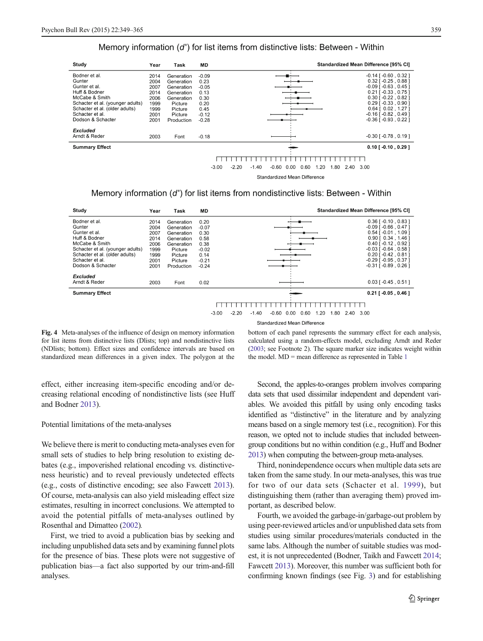<span id="page-10-0"></span>

| Study                            | Year | Task       | MD      | Standardized Mean Difference [95% CI]                                                 |
|----------------------------------|------|------------|---------|---------------------------------------------------------------------------------------|
| Bodner et al.                    | 2014 | Generation | $-0.09$ | $-0.14$ [ $-0.60$ , 0.32 ]                                                            |
| Gunter                           | 2004 | Generation | 0.23    | $0.32$ [ $-0.25$ , $0.88$ ]                                                           |
| Gunter et al.                    | 2007 | Generation | $-0.05$ | $-0.09$ [ $-0.63$ , $0.45$ ]                                                          |
| Huff & Bodner                    | 2014 | Generation | 0.13    | $0.21$ [ -0.33, 0.75]                                                                 |
| McCabe & Smith                   | 2006 | Generation | 0.30    | $0.30$ [ $-0.22$ , $0.82$ ]                                                           |
| Schacter et al. (younger adults) | 1999 | Picture    | 0.20    | $0.29$ [ $-0.33$ , $0.90$ ]                                                           |
| Schacter et al. (older adults)   | 1999 | Picture    | 0.45    | $0.64$ [ $0.02$ , 1.27 ]                                                              |
| Schacter et al.                  | 2001 | Picture    | $-0.12$ | $-0.16$ [ $-0.82$ , 0.49 ]                                                            |
| Dodson & Schacter                | 2001 | Production | $-0.28$ | $-0.36$ [ $-0.93$ , 0.22 ]                                                            |
| <b>Excluded</b>                  |      |            |         |                                                                                       |
| Arndt & Reder                    | 2003 | Font       | $-0.18$ | $-0.30$ [ $-0.78$ , 0.19]                                                             |
| <b>Summary Effect</b>            |      |            |         | $0.10$ [ $-0.10$ , $0.29$ ]                                                           |
|                                  |      |            |         |                                                                                       |
|                                  |      |            |         |                                                                                       |
|                                  |      |            |         | $-2.20$<br>$-3.00$<br>$-1.40$<br>0.00<br>1.20<br>1.80<br>$-0.60$<br>0.60<br>2.40 3.00 |
|                                  |      |            |         | Standardized Mean Difference                                                          |

Memory information (d') for list items from distinctive lists: Between - Within

## Memory information  $(d')$  for list items from nondistinctive lists: Between - Within

| Study                            | Year | Task       | ΜD      |                                                          | Standardized Mean Difference [95% CI] |
|----------------------------------|------|------------|---------|----------------------------------------------------------|---------------------------------------|
| Bodner et al.                    | 2014 | Generation | 0.20    |                                                          | $0.36$ [ $-0.10$ , $0.83$ ]           |
| Gunter                           | 2004 | Generation | $-0.07$ |                                                          | $-0.09$ [ $-0.66$ , 0.47 ]            |
| Gunter et al.                    | 2007 | Generation | 0.30    |                                                          | $0.54$ [ -0.01, 1.09]                 |
| Huff & Bodner                    | 2014 | Generation | 0.58    |                                                          | $0.90$ [ $0.34$ , 1.46 ]              |
| McCabe & Smith                   | 2006 | Generation | 0.38    |                                                          | $0.40$ [ -0.12, 0.92 ]                |
| Schacter et al. (younger adults) | 1999 | Picture    | $-0.02$ |                                                          | $-0.03$ [ $-0.64$ , 0.58 ]            |
| Schacter et al. (older adults)   | 1999 | Picture    | 0.14    |                                                          | $0.20$ [ -0.42, 0.81]                 |
| Schacter et al.                  | 2001 | Picture    | $-0.21$ |                                                          | $-0.29$ [ $-0.95$ , 0.37 ]            |
| Dodson & Schacter                | 2001 | Production | $-0.24$ |                                                          | $-0.31$ [ $-0.89$ , $0.26$ ]          |
| <b>Excluded</b>                  |      |            |         |                                                          |                                       |
| Arndt & Reder                    | 2003 | Font       | 0.02    |                                                          | $0.03$ [ $-0.45$ , $0.51$ ]           |
| <b>Summary Effect</b>            |      |            |         |                                                          | $0.21$ [ $-0.05$ , $0.46$ ]           |
|                                  |      |            |         |                                                          |                                       |
|                                  |      |            |         | $-3.00$<br>$-2.20$<br>$-1.40$<br>0.00<br>0.60<br>$-0.60$ | 1.20<br>1.80<br>3.00<br>2.40          |

Standardized Mean Difference

Fig. 4 Meta-analyses of the influence of design on memory information for list items from distinctive lists (Dlists; top) and nondistinctive lists (NDlists; bottom). Effect sizes and confidence intervals are based on standardized mean differences in a given index. The polygon at the bottom of each panel represents the summary effect for each analysis, calculated using a random-effects model, excluding Arndt and Reder ([2003](#page-14-0); see Footnote 2). The square marker size indicates weight within the model. MD = mean difference as represented in Table [1](#page-5-0)

effect, either increasing item-specific encoding and/or decreasing relational encoding of nondistinctive lists (see Huff and Bodner [2013\)](#page-15-0).

Potential limitations of the meta-analyses

We believe there is merit to conducting meta-analyses even for small sets of studies to help bring resolution to existing debates (e.g., impoverished relational encoding vs. distinctiveness heuristic) and to reveal previously undetected effects (e.g., costs of distinctive encoding; see also Fawcett [2013\)](#page-15-0). Of course, meta-analysis can also yield misleading effect size estimates, resulting in incorrect conclusions. We attempted to avoid the potential pitfalls of meta-analyses outlined by Rosenthal and Dimatteo [\(2002](#page-16-0)).

First, we tried to avoid a publication bias by seeking and including unpublished data sets and by examining funnel plots for the presence of bias. These plots were not suggestive of publication bias—a fact also supported by our trim-and-fill analyses.

Second, the apples-to-oranges problem involves comparing data sets that used dissimilar independent and dependent variables. We avoided this pitfall by using only encoding tasks identified as "distinctive" in the literature and by analyzing means based on a single memory test (i.e., recognition). For this reason, we opted not to include studies that included betweengroup conditions but no within condition (e.g., Huff and Bodner [2013\)](#page-15-0) when computing the between-group meta-analyses.

Third, nonindependence occurs when multiple data sets are taken from the same study. In our meta-analyses, this was true for two of our data sets (Schacter et al. [1999](#page-16-0)), but distinguishing them (rather than averaging them) proved important, as described below.

Fourth, we avoided the garbage-in/garbage-out problem by using peer-reviewed articles and/or unpublished data sets from studies using similar procedures/materials conducted in the same labs. Although the number of suitable studies was modest, it is not unprecedented (Bodner, Taikh and Fawcett [2014;](#page-14-0) Fawcett [2013\)](#page-15-0). Moreover, this number was sufficient both for confirming known findings (see Fig. [3\)](#page-9-0) and for establishing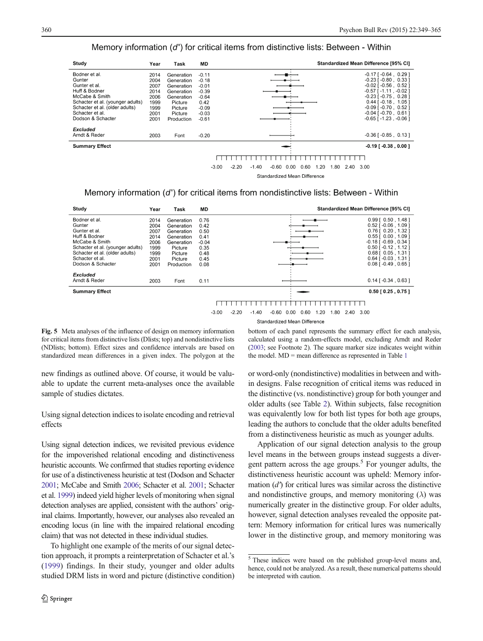<span id="page-11-0"></span>

| Study                            | Year | Task       | MD      | Standardized Mean Difference [95% CI]                                                 |
|----------------------------------|------|------------|---------|---------------------------------------------------------------------------------------|
| Bodner et al.                    | 2014 | Generation | $-0.11$ | $-0.17$ [ $-0.64$ , 0.29 ]                                                            |
| Gunter                           | 2004 | Generation | $-0.18$ | $-0.23$ [ $-0.80$ , 0.33 ]                                                            |
| Gunter et al.                    | 2007 | Generation | $-0.01$ | $-0.02$ [ $-0.56$ , 0.52]                                                             |
| Huff & Bodner                    | 2014 | Generation | $-0.39$ | $-0.57$ [ $-1.11$ , $-0.02$ ]                                                         |
| McCabe & Smith                   | 2006 | Generation | $-0.64$ | $-0.23$ [ $-0.75$ , 0.28]                                                             |
| Schacter et al. (younger adults) | 1999 | Picture    | 0.42    | $0.44$ [ $-0.18$ , 1.05 ]                                                             |
| Schacter et al. (older adults)   | 1999 | Picture    | $-0.09$ | $-0.09$ [ $-0.70$ , 0.52 ]                                                            |
| Schacter et al.                  | 2001 | Picture    | $-0.03$ | $-0.04$ [ $-0.70$ , $0.61$ ]                                                          |
| Dodson & Schacter                | 2001 | Production | $-0.61$ | $-0.65$ [ $-1.23$ , $-0.06$ ]                                                         |
| <b>Excluded</b>                  |      |            |         |                                                                                       |
| Arndt & Reder                    | 2003 | Font       | $-0.20$ | $-0.36$ [ $-0.85$ , 0.13]                                                             |
| <b>Summary Effect</b>            |      |            |         | $-0.19$ [ $-0.38$ , 0.00 ]                                                            |
|                                  |      |            |         |                                                                                       |
|                                  |      |            |         |                                                                                       |
|                                  |      |            |         | $-3.00$<br>$-2.20$<br>$-0.60$<br>0.00<br>0.60<br>$-1.40$<br>1.20<br>1.80<br>2.40 3.00 |
|                                  |      |            |         | Standardized Mean Difference                                                          |

Memory information (d') for critical items from distinctive lists: Between - Within



| Study                            | Year | Task       | MD      |                                                                                  | Standardized Mean Difference [95% CI] |
|----------------------------------|------|------------|---------|----------------------------------------------------------------------------------|---------------------------------------|
| Bodner et al.                    | 2014 | Generation | 0.76    |                                                                                  | $0.99$ [ $0.50$ , 1.48 ]              |
| Gunter                           | 2004 | Generation | 0.42    |                                                                                  | $0.52$ [ -0.06, 1.09 ]                |
| Gunter et al.                    | 2007 | Generation | 0.50    |                                                                                  | $0.76$ [ $0.20$ , 1.32 ]              |
| Huff & Bodner                    | 2014 | Generation | 0.41    |                                                                                  | $0.55$ [ $0.00$ , 1.09 ]              |
| McCabe & Smith                   | 2006 | Generation | $-0.04$ |                                                                                  | $-0.18$ [ $-0.69$ , 0.34]             |
| Schacter et al. (younger adults) | 1999 | Picture    | 0.35    |                                                                                  | $0.50$ [ -0.12, 1.12]                 |
| Schacter et al. (older adults)   | 1999 | Picture    | 0.48    |                                                                                  | $0.68$ [ $0.05$ , 1.31 ]              |
| Schacter et al.                  | 2001 | Picture    | 0.45    |                                                                                  | $0.64$ [ -0.03, 1.31]                 |
| Dodson & Schacter                | 2001 | Production | 0.08    |                                                                                  | $0.08$ [ $-0.49$ , $0.65$ ]           |
| <b>Excluded</b>                  |      |            |         |                                                                                  |                                       |
| Arndt & Reder                    | 2003 | Font       | 0.11    |                                                                                  | $0.14$ [ $-0.34$ , $0.63$ ]           |
| <b>Summary Effect</b>            |      |            |         |                                                                                  | $0.50$ [ $0.25$ , $0.75$ ]            |
|                                  |      |            |         |                                                                                  |                                       |
|                                  |      |            |         | $-3.00$<br>$-2.20$<br>0.60<br>$-1.40$<br>$-0.60$<br>0.00<br>1.20<br>1.80<br>2.40 | 3.00                                  |

Fig. 5 Meta analyses of the influence of design on memory information for critical items from distinctive lists (Dlists; top) and nondistinctive lists (NDlists; bottom). Effect sizes and confidence intervals are based on standardized mean differences in a given index. The polygon at the

new findings as outlined above. Of course, it would be valuable to update the current meta-analyses once the available sample of studies dictates.

Using signal detection indices to isolate encoding and retrieval effects

Using signal detection indices, we revisited previous evidence for the impoverished relational encoding and distinctiveness heuristic accounts. We confirmed that studies reporting evidence for use of a distinctiveness heuristic at test (Dodson and Schacter [2001;](#page-14-0) McCabe and Smith [2006](#page-15-0); Schacter et al. [2001;](#page-16-0) Schacter et al. [1999](#page-16-0)) indeed yield higher levels of monitoring when signal detection analyses are applied, consistent with the authors' original claims. Importantly, however, our analyses also revealed an encoding locus (in line with the impaired relational encoding claim) that was not detected in these individual studies.

To highlight one example of the merits of our signal detection approach, it prompts a reinterpretation of Schacter et al.'s [\(1999](#page-16-0)) findings. In their study, younger and older adults studied DRM lists in word and picture (distinctive condition) bottom of each panel represents the summary effect for each analysis, calculated using a random-effects model, excluding Arndt and Reder ([2003](#page-14-0); see Footnote 2). The square marker size indicates weight within the model. MD = mean difference as represented in Table [1](#page-5-0)

or word-only (nondistinctive) modalities in between and within designs. False recognition of critical items was reduced in the distinctive (vs. nondistinctive) group for both younger and older adults (see Table [2\)](#page-13-0). Within subjects, false recognition was equivalently low for both list types for both age groups, leading the authors to conclude that the older adults benefited from a distinctiveness heuristic as much as younger adults.

Application of our signal detection analysis to the group level means in the between groups instead suggests a divergent pattern across the age groups.<sup>5</sup> For younger adults, the distinctiveness heuristic account was upheld: Memory information  $(d')$  for critical lures was similar across the distinctive and nondistinctive groups, and memory monitoring  $(\lambda)$  was numerically greater in the distinctive group. For older adults, however, signal detection analyses revealed the opposite pattern: Memory information for critical lures was numerically lower in the distinctive group, and memory monitoring was

<sup>5</sup> These indices were based on the published group-level means and, hence, could not be analyzed. As a result, these numerical patterns should be interpreted with caution.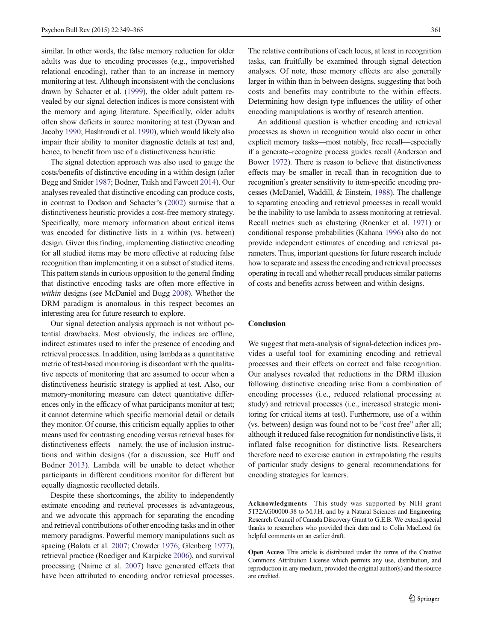similar. In other words, the false memory reduction for older adults was due to encoding processes (e.g., impoverished relational encoding), rather than to an increase in memory monitoring at test. Although inconsistent with the conclusions drawn by Schacter et al. ([1999](#page-16-0)), the older adult pattern revealed by our signal detection indices is more consistent with the memory and aging literature. Specifically, older adults often show deficits in source monitoring at test (Dywan and Jacoby [1990;](#page-14-0) Hashtroudi et al. [1990\)](#page-15-0), which would likely also impair their ability to monitor diagnostic details at test and, hence, to benefit from use of a distinctiveness heuristic.

The signal detection approach was also used to gauge the costs/benefits of distinctive encoding in a within design (after Begg and Snider [1987;](#page-14-0) Bodner, Taikh and Fawcett [2014](#page-14-0)). Our analyses revealed that distinctive encoding can produce costs, in contrast to Dodson and Schacter's [\(2002\)](#page-14-0) surmise that a distinctiveness heuristic provides a cost-free memory strategy. Specifically, more memory information about critical items was encoded for distinctive lists in a within (vs. between) design. Given this finding, implementing distinctive encoding for all studied items may be more effective at reducing false recognition than implementing it on a subset of studied items. This pattern stands in curious opposition to the general finding that distinctive encoding tasks are often more effective in within designs (see McDaniel and Bugg [2008](#page-15-0)). Whether the DRM paradigm is anomalous in this respect becomes an interesting area for future research to explore.

Our signal detection analysis approach is not without potential drawbacks. Most obviously, the indices are offline, indirect estimates used to infer the presence of encoding and retrieval processes. In addition, using lambda as a quantitative metric of test-based monitoring is discordant with the qualitative aspects of monitoring that are assumed to occur when a distinctiveness heuristic strategy is applied at test. Also, our memory-monitoring measure can detect quantitative differences only in the efficacy of what participants monitor at test; it cannot determine which specific memorial detail or details they monitor. Of course, this criticism equally applies to other means used for contrasting encoding versus retrieval bases for distinctiveness effects—namely, the use of inclusion instructions and within designs (for a discussion, see Huff and Bodner [2013\)](#page-15-0). Lambda will be unable to detect whether participants in different conditions monitor for different but equally diagnostic recollected details.

Despite these shortcomings, the ability to independently estimate encoding and retrieval processes is advantageous, and we advocate this approach for separating the encoding and retrieval contributions of other encoding tasks and in other memory paradigms. Powerful memory manipulations such as spacing (Balota et al. [2007;](#page-14-0) Crowder [1976](#page-14-0); Glenberg [1977\)](#page-15-0), retrieval practice (Roediger and Karpicke [2006](#page-16-0)), and survival processing (Nairne et al. [2007\)](#page-15-0) have generated effects that have been attributed to encoding and/or retrieval processes.

The relative contributions of each locus, at least in recognition tasks, can fruitfully be examined through signal detection analyses. Of note, these memory effects are also generally larger in within than in between designs, suggesting that both costs and benefits may contribute to the within effects. Determining how design type influences the utility of other encoding manipulations is worthy of research attention.

An additional question is whether encoding and retrieval processes as shown in recognition would also occur in other explicit memory tasks—most notably, free recall—especially if a generate–recognize process guides recall (Anderson and Bower [1972\)](#page-14-0). There is reason to believe that distinctiveness effects may be smaller in recall than in recognition due to recognition's greater sensitivity to item-specific encoding processes (McDaniel, Waddill, & Einstein, [1988](#page-15-0)). The challenge to separating encoding and retrieval processes in recall would be the inability to use lambda to assess monitoring at retrieval. Recall metrics such as clustering (Roenker et al. [1971\)](#page-16-0) or conditional response probabilities (Kahana [1996](#page-15-0)) also do not provide independent estimates of encoding and retrieval parameters. Thus, important questions for future research include how to separate and assess the encoding and retrieval processes operating in recall and whether recall produces similar patterns of costs and benefits across between and within designs.

# Conclusion

We suggest that meta-analysis of signal-detection indices provides a useful tool for examining encoding and retrieval processes and their effects on correct and false recognition. Our analyses revealed that reductions in the DRM illusion following distinctive encoding arise from a combination of encoding processes (i.e., reduced relational processing at study) and retrieval processes (i.e., increased strategic monitoring for critical items at test). Furthermore, use of a within (vs. between) design was found not to be "cost free" after all; although it reduced false recognition for nondistinctive lists, it inflated false recognition for distinctive lists. Researchers therefore need to exercise caution in extrapolating the results of particular study designs to general recommendations for encoding strategies for learners.

Acknowledgments This study was supported by NIH grant 5T32AG00000-38 to M.J.H. and by a Natural Sciences and Engineering Research Council of Canada Discovery Grant to G.E.B. We extend special thanks to researchers who provided their data and to Colin MacLeod for helpful comments on an earlier draft.

Open Access This article is distributed under the terms of the Creative Commons Attribution License which permits any use, distribution, and reproduction in any medium, provided the original author(s) and the source are credited.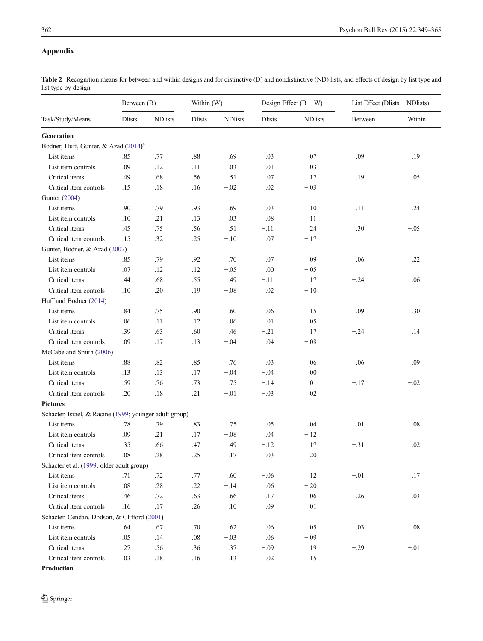<span id="page-13-0"></span>Table 2 Recognition means for between and within designs and for distinctive (D) and nondistinctive (ND) lists, and effects of design by list type and list type by design

| Task/Study/Means                                       | Between (B)   |                | Within (W)    |                | Design Effect $(B - W)$ |                | List Effect ( $Dlists - NDlists$ ) |        |
|--------------------------------------------------------|---------------|----------------|---------------|----------------|-------------------------|----------------|------------------------------------|--------|
|                                                        | <b>Dlists</b> | <b>NDlists</b> | <b>Dlists</b> | <b>NDlists</b> | <b>Dlists</b>           | <b>NDlists</b> | Between                            | Within |
| Generation                                             |               |                |               |                |                         |                |                                    |        |
| Bodner, Huff, Gunter, & Azad (2014) <sup>a</sup>       |               |                |               |                |                         |                |                                    |        |
| List items                                             | .85           | .77            | .88           | .69            | $-.03$                  | .07            | .09                                | .19    |
| List item controls                                     | .09           | .12            | .11           | $-.03$         | .01                     | $-.03$         |                                    |        |
| Critical items                                         | .49           | .68            | .56           | .51            | $-.07$                  | .17            | $-.19$                             | .05    |
| Critical item controls                                 | .15           | .18            | .16           | $-.02$         | .02                     | $-.03$         |                                    |        |
| Gunter (2004)                                          |               |                |               |                |                         |                |                                    |        |
| List items                                             | .90           | .79            | .93           | .69            | $-.03$                  | .10            | .11                                | .24    |
| List item controls                                     | .10           | .21            | .13           | $-.03$         | .08                     | $-.11$         |                                    |        |
| Critical items                                         | .45           | .75            | .56           | .51            | $-.11$                  | .24            | .30                                | $-.05$ |
| Critical item controls                                 | .15           | .32            | .25           | $-.10$         | .07                     | $-.17$         |                                    |        |
| Gunter, Bodner, & Azad (2007)                          |               |                |               |                |                         |                |                                    |        |
| List items                                             | .85           | .79            | .92           | .70            | $-.07$                  | .09            | .06                                | .22    |
| List item controls                                     | .07           | .12            | .12           | $-.05$         | .00                     | $-.05$         |                                    |        |
| Critical items                                         | .44           | .68            | .55           | .49            | $-.11$                  | .17            | $-.24$                             | .06    |
| Critical item controls                                 | .10           | .20            | .19           | $-.08$         | .02                     | $-.10$         |                                    |        |
| Huff and Bodner (2014)                                 |               |                |               |                |                         |                |                                    |        |
| List items                                             | .84           | .75            | .90           | .60            | $-.06$                  | .15            | .09                                | .30    |
| List item controls                                     | .06           | .11            | .12           | $-.06$         | $-.01$                  | $-.05$         |                                    |        |
| Critical items                                         | .39           | .63            | .60           | .46            | $-.21$                  | .17            | $-.24$                             | .14    |
| Critical item controls                                 | .09           | .17            | .13           | $-.04$         | .04                     | $-.08$         |                                    |        |
| McCabe and Smith (2006)                                |               |                |               |                |                         |                |                                    |        |
| List items                                             | .88           | .82            | .85           | .76            | .03                     | .06            | .06                                | .09    |
| List item controls                                     | .13           | .13            | .17           | $-.04$         | $-.04$                  | .00            |                                    |        |
| Critical items                                         | .59           | .76            | .73           | .75            | $-.14$                  | .01            | $-.17$                             | $-.02$ |
| Critical item controls                                 | .20           | .18            | .21           | $-.01$         | $-.03$                  | .02            |                                    |        |
| <b>Pictures</b>                                        |               |                |               |                |                         |                |                                    |        |
| Schacter, Israel, & Racine (1999; younger adult group) |               |                |               |                |                         |                |                                    |        |
| List items                                             | .78           | .79            | .83           | .75            | .05                     | .04            | $-.01$                             | .08    |
| List item controls                                     | .09           | .21            | .17           | $-.08$         | .04                     | $-.12$         |                                    |        |
| Critical items                                         | .35           | .66            | .47           | .49            | $-.12$                  | .17            | $-.31$                             | .02    |
| Critical item controls                                 | .08           | .28            | .25           | $-.17$         | .03                     | $-.20$         |                                    |        |
| Schacter et al. (1999; older adult group)              |               |                |               |                |                         |                |                                    |        |
| List items                                             | .71           | .72            | .77           | .60            | $-.06$                  | .12            | $-.01$                             | .17    |
| List item controls                                     | .08           | .28            | .22           | $-.14$         | .06                     | $-.20$         |                                    |        |
| Critical items                                         | .46           | .72            | .63           | .66            | $-.17$                  | .06            | $-.26$                             | $-.03$ |
| Critical item controls                                 | .16           | .17            | .26           | $-.10$         | $-.09$                  | $-.01$         |                                    |        |
| Schacter, Cendan, Dodson, & Clifford (2001)            |               |                |               |                |                         |                |                                    |        |
| List items                                             | .64           | .67            | .70           | .62            | $-.06$                  | .05            | $-.03$                             | .08    |
| List item controls                                     | .05           | .14            | $.08\,$       | $-.03$         | .06                     | $-.09$         |                                    |        |
| Critical items                                         | .27           | .56            | .36           | .37            | $-.09$                  | .19            | $-.29$                             | $-.01$ |
| Critical item controls                                 | .03           | $.18\,$        | .16           | $-.13$         | .02                     | $-.15$         |                                    |        |

Production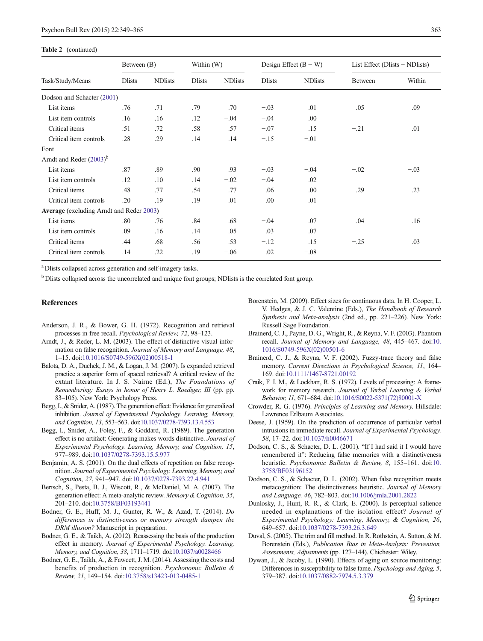#### <span id="page-14-0"></span>Table 2 (continued)

| Task/Study/Means                                | Between (B)   |                 | Within (W)    |                 | Design Effect $(B - W)$ |                | List Effect (Dlists $-$ NDlists) |        |
|-------------------------------------------------|---------------|-----------------|---------------|-----------------|-------------------------|----------------|----------------------------------|--------|
|                                                 | <b>Dlists</b> | <b>ND</b> lists | <b>Dlists</b> | <b>ND</b> lists | <b>Dlists</b>           | <b>NDlists</b> | Between                          | Within |
| Dodson and Schacter (2001)                      |               |                 |               |                 |                         |                |                                  |        |
| List items                                      | .76           | .71             | .79           | .70             | $-.03$                  | .01            | .05                              | .09    |
| List item controls                              | .16           | .16             | .12           | $-.04$          | $-.04$                  | .00            |                                  |        |
| Critical items                                  | .51           | .72             | .58           | .57             | $-.07$                  | .15            | $-.21$                           | .01    |
| Critical item controls                          | .28           | .29             | .14           | .14             | $-.15$                  | $-.01$         |                                  |        |
| Font                                            |               |                 |               |                 |                         |                |                                  |        |
| Arndt and Reder $(2003)^{b}$                    |               |                 |               |                 |                         |                |                                  |        |
| List items                                      | .87           | .89             | .90           | .93             | $-.03$                  | $-.04$         | $-.02$                           | $-.03$ |
| List item controls                              | .12           | .10             | .14           | $-.02$          | $-.04$                  | .02            |                                  |        |
| Critical items                                  | .48           | .77             | .54           | .77             | $-.06$                  | .00            | $-.29$                           | $-.23$ |
| Critical item controls                          | .20           | .19             | .19           | .01             | .00                     | .01            |                                  |        |
| <b>Average</b> (excluding Arndt and Reder 2003) |               |                 |               |                 |                         |                |                                  |        |
| List items                                      | .80           | .76             | .84           | .68             | $-.04$                  | .07            | .04                              | .16    |
| List item controls                              | .09           | .16             | .14           | $-.05$          | .03                     | $-.07$         |                                  |        |
| Critical items                                  | .44           | .68             | .56           | .53             | $-.12$                  | .15            | $-.25$                           | .03    |
| Critical item controls                          | .14           | .22             | .19           | $-.06$          | .02                     | $-.08$         |                                  |        |

<sup>a</sup> Dlists collapsed across generation and self-imagery tasks.

<sup>b</sup> Dlists collapsed across the uncorrelated and unique font groups; NDlists is the correlated font group.

#### References

- Anderson, J. R., & Bower, G. H. (1972). Recognition and retrieval processes in free recall. Psychological Review, 72, 98–123.
- Arndt, J., & Reder, L. M. (2003). The effect of distinctive visual information on false recognition. Journal of Memory and Language, 48, 1–15. doi[:10.1016/S0749-596X\(02\)00518-1](http://dx.doi.org/10.1016/S0749-596X(02)00518-1)
- Balota, D. A., Duchek, J. M., & Logan, J. M. (2007). Is expanded retrieval practice a superior form of spaced retrieval? A critical review of the extant literature. In J. S. Nairne (Ed.), The Foundations of Remembering: Essays in honor of Henry L. Roediger, III (pp. pp. 83–105). New York: Psychology Press.
- Begg, I., & Snider, A. (1987). The generation effect: Evidence for generalized inhibition. Journal of Experimental Psychology. Learning, Memory, and Cognition, 13, 553–563. doi[:10.1037/0278-7393.13.4.553](http://dx.doi.org/10.1037/0278-7393.13.4.553)
- Begg, I., Snider, A., Foley, F., & Goddard, R. (1989). The generation effect is no artifact: Generating makes words distinctive. Journal of Experimental Psychology. Learning, Memory, and Cognition, 15, 977–989. doi[:10.1037/0278-7393.15.5.977](http://dx.doi.org/10.1037/0278-7393.15.5.977)
- Benjamin, A. S. (2001). On the dual effects of repetition on false recognition. Journal of Experimental Psychology. Learning, Memory, and Cognition, 27, 941–947. doi:[10.1037/0278-7393.27.4.941](http://dx.doi.org/10.1037/0278-7393.27.4.941)
- Bertsch, S., Pesta, B. J., Wiscott, R., & McDaniel, M. A. (2007). The generation effect: A meta-analytic review. Memory & Cognition, 35, 201–210. doi[:10.3758/BF03193441](http://dx.doi.org/10.3758/BF03193441)
- Bodner, G. E., Huff, M. J., Gunter, R. W., & Azad, T. (2014). Do differences in distinctiveness or memory strength dampen the DRM illusion? Manuscript in preparation.
- Bodner, G. E., & Taikh, A. (2012). Reassessing the basis of the production effect in memory. Journal of Experimental Psychology. Learning, Memory, and Cognition, 38, 1711–1719. doi:[10.1037/a0028466](http://dx.doi.org/10.1037/a0028466)
- Bodner, G. E., Taikh, A., & Fawcett, J. M. (2014). Assessing the costs and benefits of production in recognition. Psychonomic Bulletin & Review, 21, 149–154. doi:[10.3758/s13423-013-0485-1](http://dx.doi.org/10.3758/s13423-013-0485-1)
- Borenstein, M. (2009). Effect sizes for continuous data. In H. Cooper, L. V. Hedges, & J. C. Valentine (Eds.), The Handbook of Research Synthesis and Meta-analysis (2nd ed., pp. 221–226). New York: Russell Sage Foundation.
- Brainerd, C. J., Payne, D. G., Wright, R., & Reyna, V. F. (2003). Phantom recall. Journal of Memory and Language, 48, 445–467. doi:[10.](http://dx.doi.org/10.1016/S0749-596X(02)00501-6) [1016/S0749-596X\(02\)00501-6](http://dx.doi.org/10.1016/S0749-596X(02)00501-6)
- Brainerd, C. J., & Reyna, V. F. (2002). Fuzzy-trace theory and false memory. Current Directions in Psychological Science, 11, 164– 169. doi[:10.1111/1467-8721.00192](http://dx.doi.org/10.1111/1467-8721.00192)
- Craik, F. I. M., & Lockhart, R. S. (1972). Levels of processing: A framework for memory research. Journal of Verbal Learning & Verbal Behavior, 11, 671–684. doi[:10.1016/S0022-5371\(72\)80001-X](http://dx.doi.org/10.1016/S0022-5371(72)80001-X)
- Crowder, R. G. (1976). Principles of Learning and Memory. Hillsdale: Lawrence Erlbaum Associates.
- Deese, J. (1959). On the prediction of occurrence of particular verbal intrusions in immediate recall. Journal of Experimental Psychology, 58, 17–22. doi[:10.1037/h0046671](http://dx.doi.org/10.1037/h0046671)
- Dodson, C. S., & Schacter, D. L. (2001). "If I had said it I would have remembered it": Reducing false memories with a distinctiveness heuristic. Psychonomic Bulletin & Review, 8, 155-161. doi:[10.](http://dx.doi.org/10.3758/BF03196152) [3758/BF03196152](http://dx.doi.org/10.3758/BF03196152)
- Dodson, C. S., & Schacter, D. L. (2002). When false recognition meets metacognition: The distinctiveness heuristic. Journal of Memory and Language, 46, 782–803. doi:[10.1006/jmla.2001.2822](http://dx.doi.org/10.1006/jmla.2001.2822)
- Dunlosky, J., Hunt, R. R., & Clark, E. (2000). Is perceptual salience needed in explanations of the isolation effect? Journal of Experimental Psychology: Learning, Memory, & Cognition, 26, 649–657. doi[:10.1037/0278-7393.26.3.649](http://dx.doi.org/10.1037/0278-7393.26.3.649)
- Duval, S. (2005). The trim and fill method. In R. Rothstein, A. Sutton, & M. Borenstein (Eds.), Publication Bias in Meta-Analysis: Prevention, Assessments, Adjustments (pp. 127–144). Chichester: Wiley.
- Dywan, J., & Jacoby, L. (1990). Effects of aging on source monitoring: Differences in susceptibility to false fame. Psychology and Aging, 5, 379–387. doi[:10.1037/0882-7974.5.3.379](http://dx.doi.org/10.1037/0882-7974.5.3.379)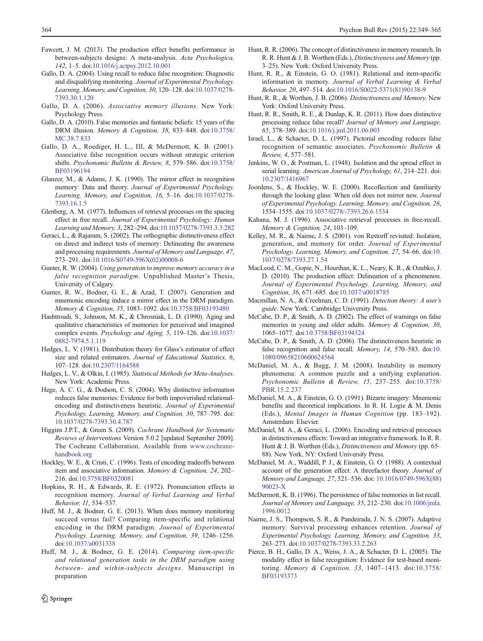- <span id="page-15-0"></span>Fawcett, J. M. (2013). The production effect benefits performance in between-subjects designs: A meta-analysis. Acta Psychologica, 142, 1–5. doi[:10.1016/j.actpsy.2012.10.001](http://dx.doi.org/10.1016/j.actpsy.2012.10.001)
- Gallo, D. A. (2004). Using recall to reduce false recognition: Diagnostic and disqualifying monitoring. Journal of Experimental Psychology. Learning, Memory, and Cognition, 30, 120–128. doi:[10.1037/0278-](http://dx.doi.org/10.1037/0278-7393.30.1.120) [7393.30.1.120](http://dx.doi.org/10.1037/0278-7393.30.1.120)
- Gallo, D. A. (2006). Associative memory illusions. New York: Psychology Press.
- Gallo, D. A. (2010). False memories and fantastic beliefs: 15 years of the DRM illusion. Memory & Cognition, 38, 833–848. doi[:10.3758/](http://dx.doi.org/10.3758/MC.38.7.833) [MC.38.7.833](http://dx.doi.org/10.3758/MC.38.7.833)
- Gallo, D. A., Roediger, H. L., III, & McDermott, K. B. (2001). Associative false recognition occurs without strategic criterion shifts. Psychonomic Bulletin & Review, 8, 579–586. doi[:10.3758/](http://dx.doi.org/10.3758/BF03196194) [BF03196194](http://dx.doi.org/10.3758/BF03196194)
- Glanzer, M., & Adams, J. K. (1990). The mirror effect in recognition memory: Data and theory. Journal of Experimental Psychology. Learning, Memory, and Cognition, 16, 5–16. doi[:10.1037/0278-](http://dx.doi.org/10.1037/0278-7393.16.1.5) [7393.16.1.5](http://dx.doi.org/10.1037/0278-7393.16.1.5)
- Glenberg, A. M. (1977). Influences of retrieval processes on the spacing effect in free recall. Journal of Experimental Psychology: Human Learning and Memory, 3, 282–294. doi:[10.1037/0278-7393.3.3.282](http://dx.doi.org/10.1037/0278-7393.3.3.282)
- Geraci, L., & Rajaram, S. (2002). The orthographic distinctiveness effect on direct and indirect tests of memory: Delineating the awareness and processing requirements. Journal of Memory and Language, 47, 273–291. doi[:10.1016/S0749-596X\(02\)00008-6](http://dx.doi.org/10.1016/S0749-596X(02)00008-6)
- Gunter, R. W. (2004). Using generation to improve memory accuracy in a false recognition paradigm. Unpublished Master's Thesis, University of Calgary.
- Gunter, R. W., Bodner, G. E., & Azad, T. (2007). Generation and mnemonic encoding induce a mirror effect in the DRM paradigm. Memory & Cognition, 35, 1083–1092. doi[:10.3758/BF03193480](http://dx.doi.org/10.3758/BF03193480)
- Hashtroudi, S., Johnson, M. K., & Chrosniak, L. D. (1990). Aging and qualitative characteristics of memories for perceived and imagined complex events. Psychology and Aging, 5, 119–126. doi[:10.1037/](http://dx.doi.org/10.1037/0882-7974.5.1.119) [0882-7974.5.1.119](http://dx.doi.org/10.1037/0882-7974.5.1.119)
- Hedges, L. V. (1981). Distribution theory for Glass's estimator of effect size and related estimators. Journal of Educational Statistics, 6, 107–128. doi[:10.2307/1164588](http://dx.doi.org/10.2307/1164588)
- Hedges, L. V., & Olkin, I. (1985). Statistical Methods for Meta-Analyses. New York: Academic Press.
- Hege, A. C. G., & Dodson, C. S. (2004). Why distinctive information reduces false memories: Evidence for both impoverished relationalencoding and distinctiveness heuristic. Journal of Experimental Psychology. Learning, Memory, and Cognition, 30, 787–795. doi: [10.1037/0278-7393.30.4.787](http://dx.doi.org/10.1037/0278-7393.30.4.787)
- Higgins J.P.T., & Green S. (2009). Cochrane Handbook for Systematic Reviews of Interventions Version 5.0.2 [updated September 2009]. The Cochrane Collaboration. Available from [www.cochrane](http://www.cochrane-handbook.org/)[handbook.org](http://www.cochrane-handbook.org/)
- Hockley, W. E., & Cristi, C. (1996). Tests of encoding tradeoffs between item and associative information. Memory & Cognition, 24, 202– 216. doi[:10.3758/BF0320081](http://dx.doi.org/10.3758/BF0320081)
- Hopkins, R. H., & Edwards, R. E. (1972). Pronunciation effects in recognition memory. Journal of Verbal Learning and Verbal Behavior, 11, 534–537.
- Huff, M. J., & Bodner, G. E. (2013). When does memory monitoring succeed versus fail? Comparing item-specific and relational encoding in the DRM paradigm. Journal of Experimental Psychology. Learning, Memory, and Cognition, 39, 1246–1256. doi:[10.1037/a0031338](http://dx.doi.org/10.1037/a0031338)
- Huff, M. J., & Bodner, G. E. (2014). Comparing item-specific and relational generation tasks in the DRM paradigm using between- and within-subjects designs. Manuscript in preparation
- Hunt, R. R. (2006). The concept of distinctiveness in memory research. In R. R. Hunt & J. B. Worthen (Eds.), Distinctiveness and Memory (pp. 3–25). New York: Oxford University Press.
- Hunt, R. R., & Einstein, G. O. (1981). Relational and item-specific information in memory. Journal of Verbal Learning & Verbal Behavior, 20, 497–514. doi[:10.1016/S0022-5371\(81\)90138-9](http://dx.doi.org/10.1016/S0022-5371(81)90138-9)
- Hunt, R. R., & Worthen, J. B. (2006). Distinctiveness and Memory. New York: Oxford University Press.
- Hunt, R. R., Smith, R. E., & Dunlap, K. R. (2011). How does distinctive processing reduce false recall? Journal of Memory and Language, 65, 378–389. doi:[10.1016/j.jml.2011.06.003](http://dx.doi.org/10.1016/j.jml.2011.06.003)
- Israel, L., & Schacter, D. L. (1997). Pictorial encoding reduces false recognition of semantic associates. Psychonomic Bulletin & Review, 4, 577–581.
- Jenkins, W. O., & Postman, L. (1948). Isolation and the spread effect in serial learning. American Journal of Psychology, 61, 214–221. doi: [10.2307/1416967](http://dx.doi.org/10.2307/1416967)
- Joordens, S., & Hockley, W. E. (2000). Recollection and familiarity through the looking glass: When old does not mirror new. Journal of Experimental Psychology. Learning, Memory, and Cognition, 26, 1534–1555. doi[:10.1037/0278/-7393.26.6.1534](http://dx.doi.org/10.1037/0278/-7393.26.6.1534)
- Kahana, M. J. (1996). Associative retrieval processes in free-recall. Memory & Cognition, 24, 103-109.
- Kelley, M. R., & Nairne, J. S. (2001). von Restorff revisited: Isolation, generation, and memory for order. Journal of Experimental Psychology. Learning, Memory, and Cognition, 27, 54–66. doi[:10.](http://dx.doi.org/10.1037/0278/7393.27.1.54) [1037/0278/7393.27.1.54](http://dx.doi.org/10.1037/0278/7393.27.1.54)
- MacLeod, C. M., Gopie, N., Hourihan, K. L., Neary, K. R., & Ozubko, J. D. (2010). The production effect: Delineation of a phenomenon. Journal of Experimental Psychology. Learning, Memory, and Cognition, 36, 671–685. doi:[10.1037/a0018785](http://dx.doi.org/10.1037/a0018785)
- Macmillan, N. A., & Creelman, C. D. (1991). Detection theory: A user's guide. New York: Cambridge University Press.
- McCabe, D. P., & Smith, A. D. (2002). The effect of warnings on false memories in young and older adults. Memory & Cognition, 30, 1065–1077. doi[:10.3758/BF03194324](http://dx.doi.org/10.3758/BF03194324)
- McCabe, D. P., & Smith, A. D. (2006). The distinctiveness heuristic in false recognition and false recall. Memory, 14, 570–583. doi[:10.](http://dx.doi.org/10.1080/09658210600624564) [1080/09658210600624564](http://dx.doi.org/10.1080/09658210600624564)
- McDaniel, M. A., & Bugg, J. M. (2008). Instability in memory phenomena: A common puzzle and a unifying explanation. Psychonomic Bulletin & Review, 15, 237–255. doi:[10.3758/](http://dx.doi.org/10.3758/PBR.15.2.237) [PBR.15.2.237](http://dx.doi.org/10.3758/PBR.15.2.237)
- McDaniel, M. A., & Einstein, G. O. (1991). Bizarre imagery: Mnemonic benefits and theoretical implications. In R. H. Logie & M. Denis (Eds.), Mental Images in Human Cognition (pp. 183–192). Amsterdam: Elsevier.
- McDaniel, M. A., & Geraci, L. (2006). Encoding and retrieval processes in distinctiveness effects: Toward an integrative framework. In R. R. Hunt & J. B. Worthen (Eds.), *Distinctiveness and Memory* (pp. 65– 88). New York, NY: Oxford University Press.
- McDaniel, M. A., Waddill, P. J., & Einstein, G. O. (1988). A contextual account of the generation effect: A threefactor theory. Journal of Memory and Language, 27, 521–536. doi: [10.1016/0749-596X\(88\)](http://dx.doi.org/10.1016/0749-596X(88)90023-X) [90023-X](http://dx.doi.org/10.1016/0749-596X(88)90023-X)
- McDermott, K. B. (1996). The persistence of false memories in list recall. Journal of Memory and Language, 35, 212–230. doi:[10.1006/jmla.](http://dx.doi.org/10.1006/jmla.1996.0012) [1996.0012](http://dx.doi.org/10.1006/jmla.1996.0012)
- Nairne, J. S., Thompson, S. R., & Pandeirada, J. N. S. (2007). Adaptive memory: Survival processing enhances retention. Journal of Experimental Psychology. Learning, Memory, and Cognition, 33, 263–273. doi[:10.1037/0278-7393.33.2.263](http://dx.doi.org/10.1037/0278-7393.33.2.263)
- Pierce, B. H., Gallo, D. A., Weiss, J. A., & Schacter, D. L. (2005). The modality effect in false recognition: Evidence for test-based monitoring. Memory & Cognition, 33, 1407–1413. doi:[10.3758/](http://dx.doi.org/10.3758/BF03193373) [BF03193373](http://dx.doi.org/10.3758/BF03193373)